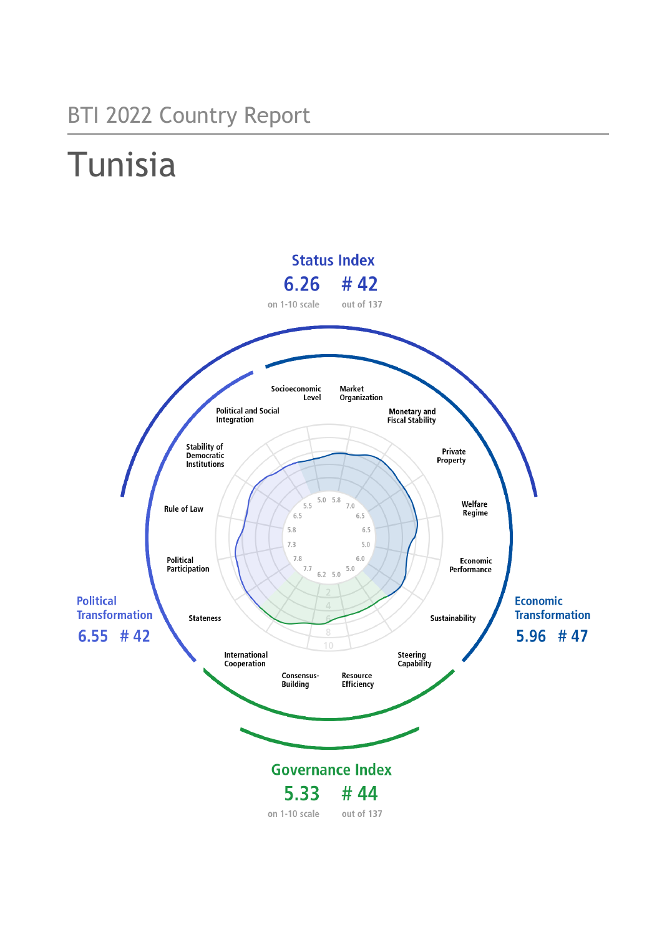## BTI 2022 Country Report

# **Tunisia**

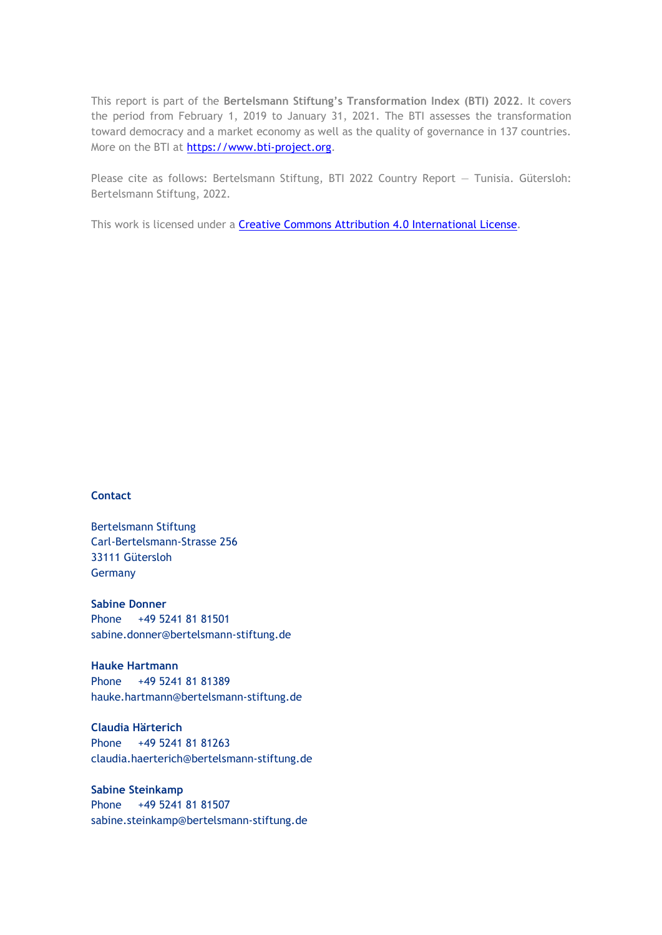This report is part of the **Bertelsmann Stiftung's Transformation Index (BTI) 2022**. It covers the period from February 1, 2019 to January 31, 2021. The BTI assesses the transformation toward democracy and a market economy as well as the quality of governance in 137 countries. More on the BTI at [https://www.bti-project.org.](https://www.bti-project.org/)

Please cite as follows: Bertelsmann Stiftung, BTI 2022 Country Report — Tunisia. Gütersloh: Bertelsmann Stiftung, 2022.

This work is licensed under a **Creative Commons Attribution 4.0 International License**.

#### **Contact**

Bertelsmann Stiftung Carl-Bertelsmann-Strasse 256 33111 Gütersloh Germany

**Sabine Donner** Phone +49 5241 81 81501 sabine.donner@bertelsmann-stiftung.de

**Hauke Hartmann** Phone +49 5241 81 81389 hauke.hartmann@bertelsmann-stiftung.de

**Claudia Härterich** Phone +49 5241 81 81263 claudia.haerterich@bertelsmann-stiftung.de

#### **Sabine Steinkamp** Phone +49 5241 81 81507 sabine.steinkamp@bertelsmann-stiftung.de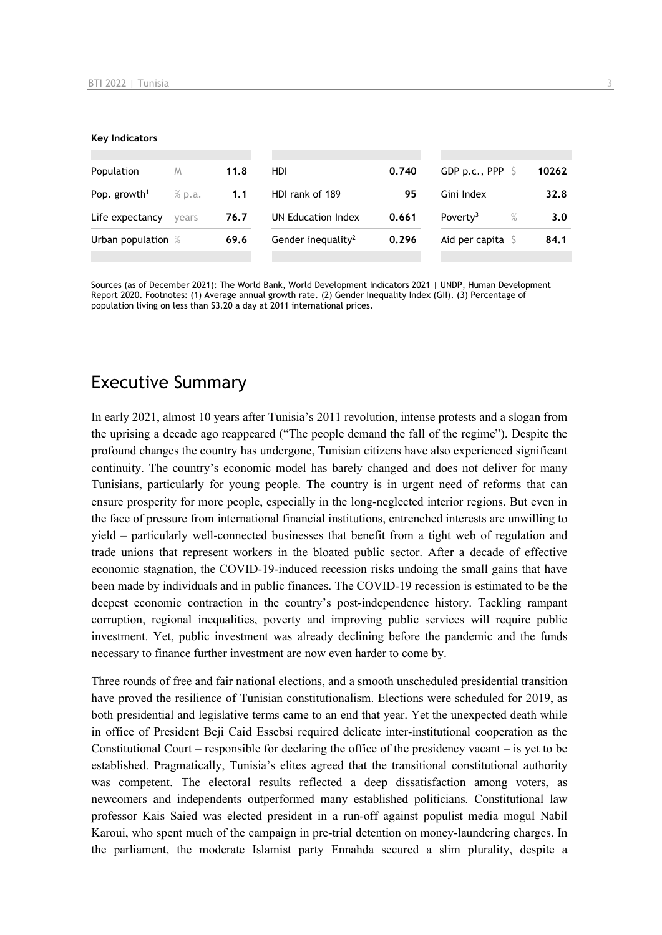#### **Key Indicators**

| Population               | M      | 11.8 | HDI                            | 0.740 | GDP p.c., PPP $\sqrt{5}$  | 10262            |
|--------------------------|--------|------|--------------------------------|-------|---------------------------|------------------|
| Pop. growth <sup>1</sup> | % p.a. | 1.1  | HDI rank of 189                | 95    | Gini Index                | 32.8             |
| Life expectancy          | vears  | 76.7 | UN Education Index             | 0.661 | Poverty <sup>3</sup><br>% | 3.0 <sub>1</sub> |
| Urban population %       |        | 69.6 | Gender inequality <sup>2</sup> | 0.296 | Aid per capita            | 84.1             |
|                          |        |      |                                |       |                           |                  |

Sources (as of December 2021): The World Bank, World Development Indicators 2021 | UNDP, Human Development Report 2020. Footnotes: (1) Average annual growth rate. (2) Gender Inequality Index (GII). (3) Percentage of population living on less than \$3.20 a day at 2011 international prices.

## Executive Summary

In early 2021, almost 10 years after Tunisia's 2011 revolution, intense protests and a slogan from the uprising a decade ago reappeared ("The people demand the fall of the regime"). Despite the profound changes the country has undergone, Tunisian citizens have also experienced significant continuity. The country's economic model has barely changed and does not deliver for many Tunisians, particularly for young people. The country is in urgent need of reforms that can ensure prosperity for more people, especially in the long-neglected interior regions. But even in the face of pressure from international financial institutions, entrenched interests are unwilling to yield – particularly well-connected businesses that benefit from a tight web of regulation and trade unions that represent workers in the bloated public sector. After a decade of effective economic stagnation, the COVID-19-induced recession risks undoing the small gains that have been made by individuals and in public finances. The COVID-19 recession is estimated to be the deepest economic contraction in the country's post-independence history. Tackling rampant corruption, regional inequalities, poverty and improving public services will require public investment. Yet, public investment was already declining before the pandemic and the funds necessary to finance further investment are now even harder to come by.

Three rounds of free and fair national elections, and a smooth unscheduled presidential transition have proved the resilience of Tunisian constitutionalism. Elections were scheduled for 2019, as both presidential and legislative terms came to an end that year. Yet the unexpected death while in office of President Beji Caid Essebsi required delicate inter-institutional cooperation as the Constitutional Court – responsible for declaring the office of the presidency vacant – is yet to be established. Pragmatically, Tunisia's elites agreed that the transitional constitutional authority was competent. The electoral results reflected a deep dissatisfaction among voters, as newcomers and independents outperformed many established politicians. Constitutional law professor Kais Saied was elected president in a run-off against populist media mogul Nabil Karoui, who spent much of the campaign in pre-trial detention on money-laundering charges. In the parliament, the moderate Islamist party Ennahda secured a slim plurality, despite a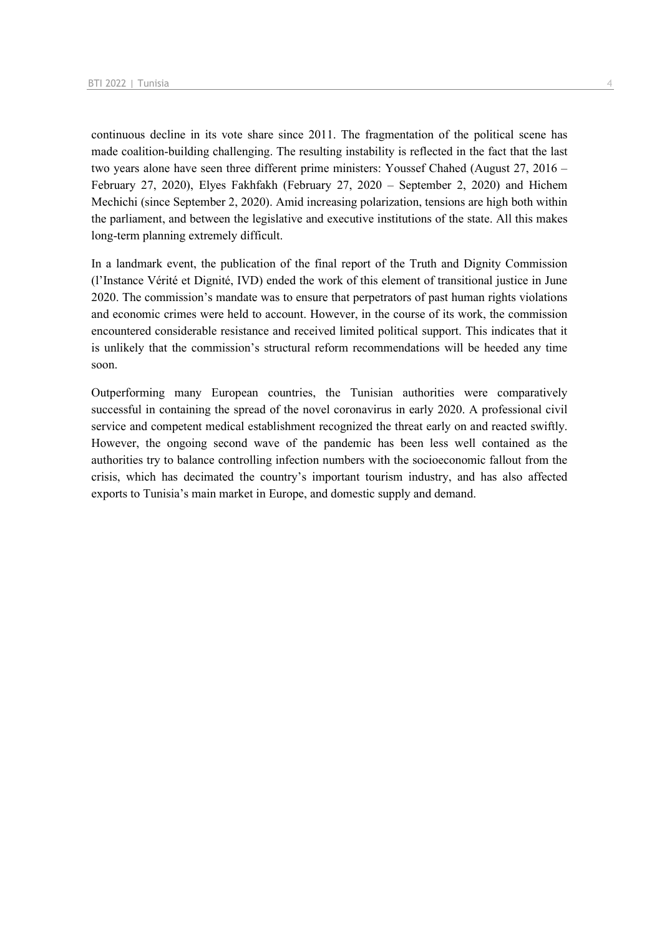continuous decline in its vote share since 2011. The fragmentation of the political scene has made coalition-building challenging. The resulting instability is reflected in the fact that the last two years alone have seen three different prime ministers: Youssef Chahed (August 27, 2016 – February 27, 2020), Elyes Fakhfakh (February 27, 2020 – September 2, 2020) and Hichem Mechichi (since September 2, 2020). Amid increasing polarization, tensions are high both within the parliament, and between the legislative and executive institutions of the state. All this makes long-term planning extremely difficult.

In a landmark event, the publication of the final report of the Truth and Dignity Commission (l'Instance Vérité et Dignité, IVD) ended the work of this element of transitional justice in June 2020. The commission's mandate was to ensure that perpetrators of past human rights violations and economic crimes were held to account. However, in the course of its work, the commission encountered considerable resistance and received limited political support. This indicates that it is unlikely that the commission's structural reform recommendations will be heeded any time soon.

Outperforming many European countries, the Tunisian authorities were comparatively successful in containing the spread of the novel coronavirus in early 2020. A professional civil service and competent medical establishment recognized the threat early on and reacted swiftly. However, the ongoing second wave of the pandemic has been less well contained as the authorities try to balance controlling infection numbers with the socioeconomic fallout from the crisis, which has decimated the country's important tourism industry, and has also affected exports to Tunisia's main market in Europe, and domestic supply and demand.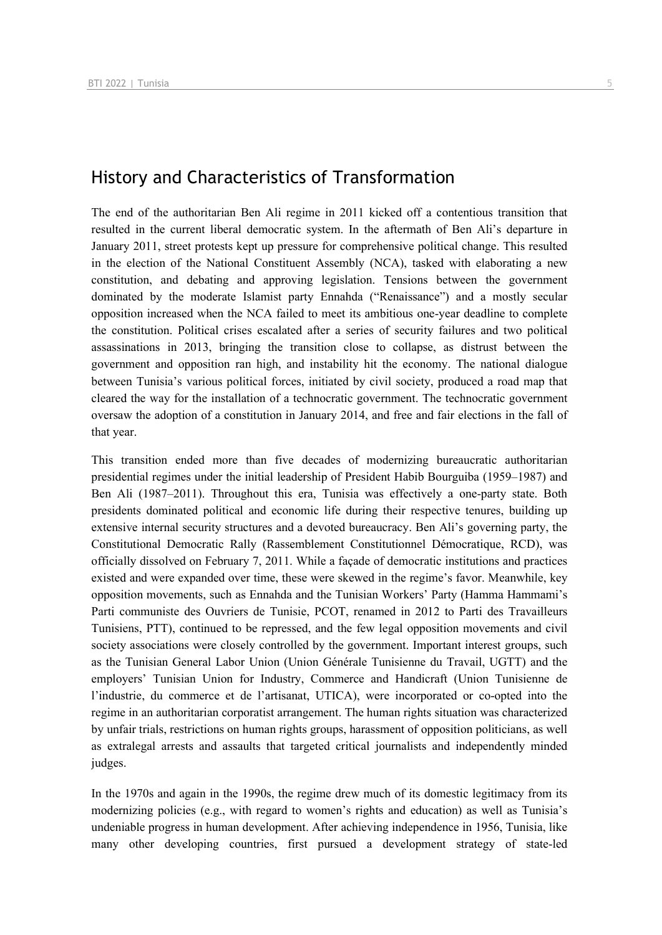## History and Characteristics of Transformation

The end of the authoritarian Ben Ali regime in 2011 kicked off a contentious transition that resulted in the current liberal democratic system. In the aftermath of Ben Ali's departure in January 2011, street protests kept up pressure for comprehensive political change. This resulted in the election of the National Constituent Assembly (NCA), tasked with elaborating a new constitution, and debating and approving legislation. Tensions between the government dominated by the moderate Islamist party Ennahda ("Renaissance") and a mostly secular opposition increased when the NCA failed to meet its ambitious one-year deadline to complete the constitution. Political crises escalated after a series of security failures and two political assassinations in 2013, bringing the transition close to collapse, as distrust between the government and opposition ran high, and instability hit the economy. The national dialogue between Tunisia's various political forces, initiated by civil society, produced a road map that cleared the way for the installation of a technocratic government. The technocratic government oversaw the adoption of a constitution in January 2014, and free and fair elections in the fall of that year.

This transition ended more than five decades of modernizing bureaucratic authoritarian presidential regimes under the initial leadership of President Habib Bourguiba (1959–1987) and Ben Ali (1987–2011). Throughout this era, Tunisia was effectively a one-party state. Both presidents dominated political and economic life during their respective tenures, building up extensive internal security structures and a devoted bureaucracy. Ben Ali's governing party, the Constitutional Democratic Rally (Rassemblement Constitutionnel Démocratique, RCD), was officially dissolved on February 7, 2011. While a façade of democratic institutions and practices existed and were expanded over time, these were skewed in the regime's favor. Meanwhile, key opposition movements, such as Ennahda and the Tunisian Workers' Party (Hamma Hammami's Parti communiste des Ouvriers de Tunisie, PCOT, renamed in 2012 to Parti des Travailleurs Tunisiens, PTT), continued to be repressed, and the few legal opposition movements and civil society associations were closely controlled by the government. Important interest groups, such as the Tunisian General Labor Union (Union Générale Tunisienne du Travail, UGTT) and the employers' Tunisian Union for Industry, Commerce and Handicraft (Union Tunisienne de l'industrie, du commerce et de l'artisanat, UTICA), were incorporated or co-opted into the regime in an authoritarian corporatist arrangement. The human rights situation was characterized by unfair trials, restrictions on human rights groups, harassment of opposition politicians, as well as extralegal arrests and assaults that targeted critical journalists and independently minded judges.

In the 1970s and again in the 1990s, the regime drew much of its domestic legitimacy from its modernizing policies (e.g., with regard to women's rights and education) as well as Tunisia's undeniable progress in human development. After achieving independence in 1956, Tunisia, like many other developing countries, first pursued a development strategy of state-led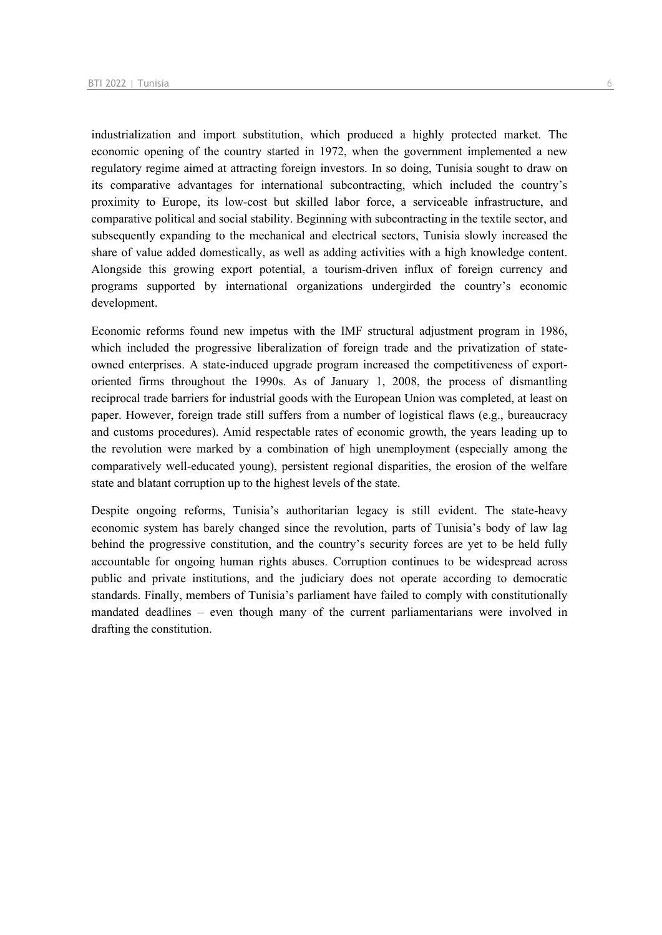industrialization and import substitution, which produced a highly protected market. The economic opening of the country started in 1972, when the government implemented a new regulatory regime aimed at attracting foreign investors. In so doing, Tunisia sought to draw on its comparative advantages for international subcontracting, which included the country's proximity to Europe, its low-cost but skilled labor force, a serviceable infrastructure, and comparative political and social stability. Beginning with subcontracting in the textile sector, and subsequently expanding to the mechanical and electrical sectors, Tunisia slowly increased the share of value added domestically, as well as adding activities with a high knowledge content. Alongside this growing export potential, a tourism-driven influx of foreign currency and programs supported by international organizations undergirded the country's economic development.

Economic reforms found new impetus with the IMF structural adjustment program in 1986, which included the progressive liberalization of foreign trade and the privatization of stateowned enterprises. A state-induced upgrade program increased the competitiveness of exportoriented firms throughout the 1990s. As of January 1, 2008, the process of dismantling reciprocal trade barriers for industrial goods with the European Union was completed, at least on paper. However, foreign trade still suffers from a number of logistical flaws (e.g., bureaucracy and customs procedures). Amid respectable rates of economic growth, the years leading up to the revolution were marked by a combination of high unemployment (especially among the comparatively well-educated young), persistent regional disparities, the erosion of the welfare state and blatant corruption up to the highest levels of the state.

Despite ongoing reforms, Tunisia's authoritarian legacy is still evident. The state-heavy economic system has barely changed since the revolution, parts of Tunisia's body of law lag behind the progressive constitution, and the country's security forces are yet to be held fully accountable for ongoing human rights abuses. Corruption continues to be widespread across public and private institutions, and the judiciary does not operate according to democratic standards. Finally, members of Tunisia's parliament have failed to comply with constitutionally mandated deadlines – even though many of the current parliamentarians were involved in drafting the constitution.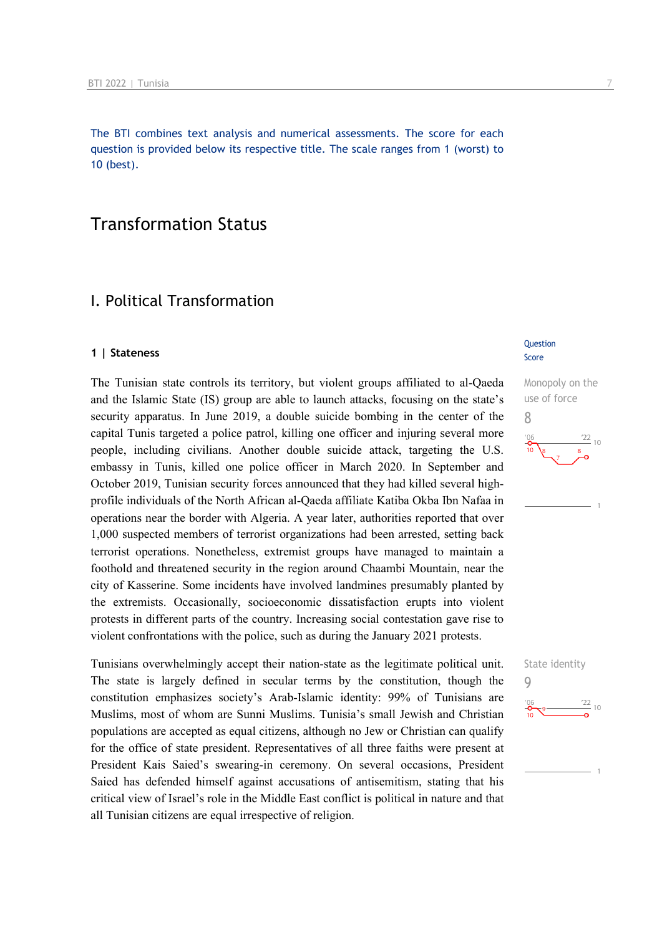The BTI combines text analysis and numerical assessments. The score for each question is provided below its respective title. The scale ranges from 1 (worst) to 10 (best).

## Transformation Status

## I. Political Transformation

#### **1 | Stateness**

The Tunisian state controls its territory, but violent groups affiliated to al-Qaeda and the Islamic State (IS) group are able to launch attacks, focusing on the state's security apparatus. In June 2019, a double suicide bombing in the center of the capital Tunis targeted a police patrol, killing one officer and injuring several more people, including civilians. Another double suicide attack, targeting the U.S. embassy in Tunis, killed one police officer in March 2020. In September and October 2019, Tunisian security forces announced that they had killed several highprofile individuals of the North African al-Qaeda affiliate Katiba Okba Ibn Nafaa in operations near the border with Algeria. A year later, authorities reported that over 1,000 suspected members of terrorist organizations had been arrested, setting back terrorist operations. Nonetheless, extremist groups have managed to maintain a foothold and threatened security in the region around Chaambi Mountain, near the city of Kasserine. Some incidents have involved landmines presumably planted by the extremists. Occasionally, socioeconomic dissatisfaction erupts into violent protests in different parts of the country. Increasing social contestation gave rise to violent confrontations with the police, such as during the January 2021 protests.

Tunisians overwhelmingly accept their nation-state as the legitimate political unit. The state is largely defined in secular terms by the constitution, though the constitution emphasizes society's Arab-Islamic identity: 99% of Tunisians are Muslims, most of whom are Sunni Muslims. Tunisia's small Jewish and Christian populations are accepted as equal citizens, although no Jew or Christian can qualify for the office of state president. Representatives of all three faiths were present at President Kais Saied's swearing-in ceremony. On several occasions, President Saied has defended himself against accusations of antisemitism, stating that his critical view of Israel's role in the Middle East conflict is political in nature and that all Tunisian citizens are equal irrespective of religion.

#### **Question** Score

Monopoly on the use of force 8 22  $10$ 

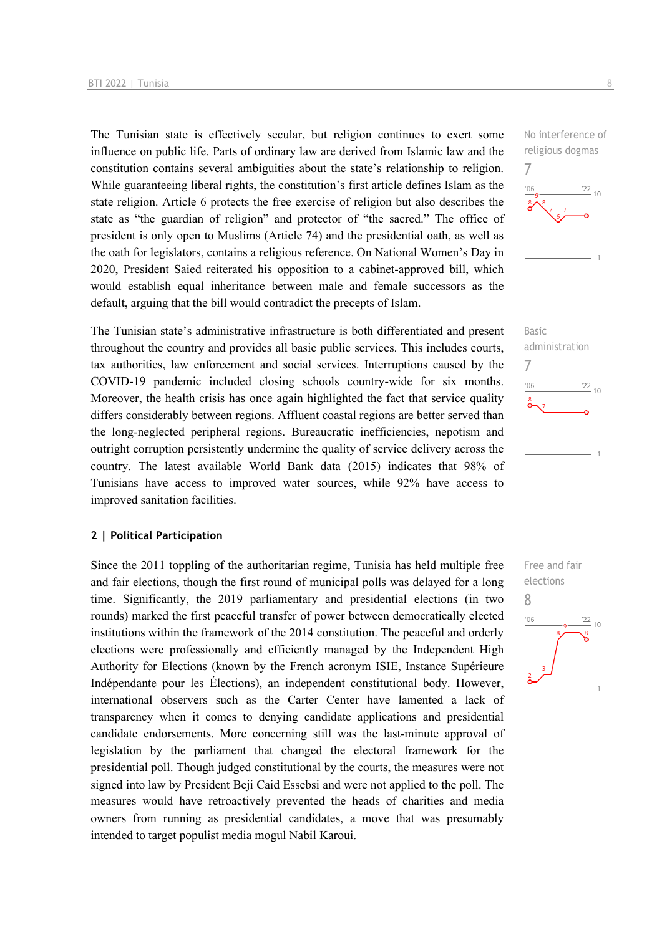The Tunisian state is effectively secular, but religion continues to exert some influence on public life. Parts of ordinary law are derived from Islamic law and the constitution contains several ambiguities about the state's relationship to religion. While guaranteeing liberal rights, the constitution's first article defines Islam as the state religion. Article 6 protects the free exercise of religion but also describes the state as "the guardian of religion" and protector of "the sacred." The office of president is only open to Muslims (Article 74) and the presidential oath, as well as the oath for legislators, contains a religious reference. On National Women's Day in 2020, President Saied reiterated his opposition to a cabinet-approved bill, which would establish equal inheritance between male and female successors as the default, arguing that the bill would contradict the precepts of Islam.

The Tunisian state's administrative infrastructure is both differentiated and present throughout the country and provides all basic public services. This includes courts, tax authorities, law enforcement and social services. Interruptions caused by the COVID-19 pandemic included closing schools country-wide for six months. Moreover, the health crisis has once again highlighted the fact that service quality differs considerably between regions. Affluent coastal regions are better served than the long-neglected peripheral regions. Bureaucratic inefficiencies, nepotism and outright corruption persistently undermine the quality of service delivery across the country. The latest available World Bank data (2015) indicates that 98% of Tunisians have access to improved water sources, while 92% have access to improved sanitation facilities.

#### **2 | Political Participation**

Since the 2011 toppling of the authoritarian regime, Tunisia has held multiple free and fair elections, though the first round of municipal polls was delayed for a long time. Significantly, the 2019 parliamentary and presidential elections (in two rounds) marked the first peaceful transfer of power between democratically elected institutions within the framework of the 2014 constitution. The peaceful and orderly elections were professionally and efficiently managed by the Independent High Authority for Elections (known by the French acronym ISIE, Instance Supérieure Indépendante pour les Élections), an independent constitutional body. However, international observers such as the Carter Center have lamented a lack of transparency when it comes to denying candidate applications and presidential candidate endorsements. More concerning still was the last-minute approval of legislation by the parliament that changed the electoral framework for the presidential poll. Though judged constitutional by the courts, the measures were not signed into law by President Beji Caid Essebsi and were not applied to the poll. The measures would have retroactively prevented the heads of charities and media owners from running as presidential candidates, a move that was presumably intended to target populist media mogul Nabil Karoui.





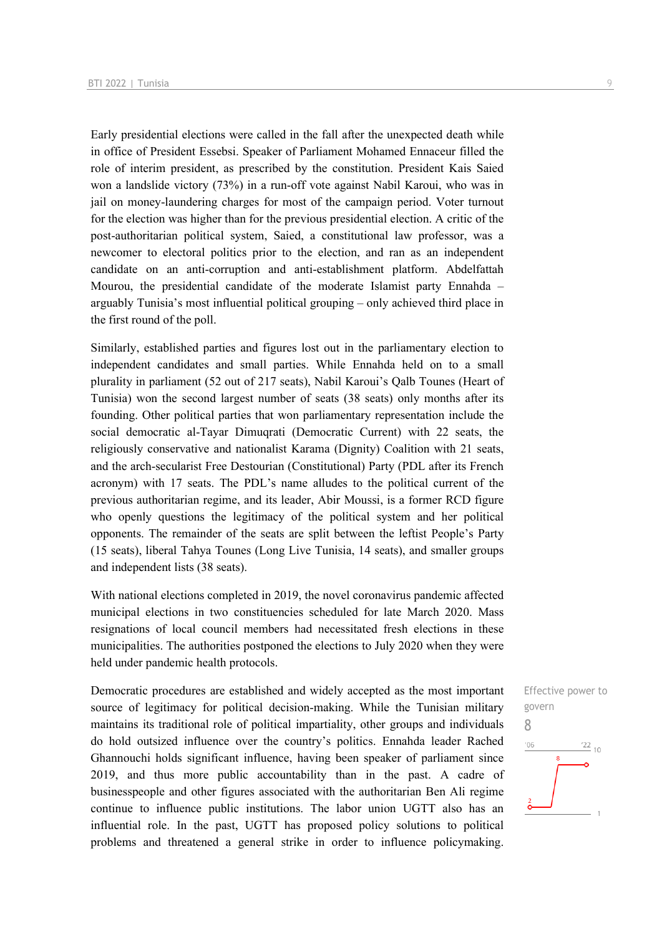Early presidential elections were called in the fall after the unexpected death while in office of President Essebsi. Speaker of Parliament Mohamed Ennaceur filled the role of interim president, as prescribed by the constitution. President Kais Saied won a landslide victory (73%) in a run-off vote against Nabil Karoui, who was in jail on money-laundering charges for most of the campaign period. Voter turnout for the election was higher than for the previous presidential election. A critic of the post-authoritarian political system, Saied, a constitutional law professor, was a newcomer to electoral politics prior to the election, and ran as an independent candidate on an anti-corruption and anti-establishment platform. Abdelfattah Mourou, the presidential candidate of the moderate Islamist party Ennahda – arguably Tunisia's most influential political grouping – only achieved third place in the first round of the poll.

Similarly, established parties and figures lost out in the parliamentary election to independent candidates and small parties. While Ennahda held on to a small plurality in parliament (52 out of 217 seats), Nabil Karoui's Qalb Tounes (Heart of Tunisia) won the second largest number of seats (38 seats) only months after its founding. Other political parties that won parliamentary representation include the social democratic al-Tayar Dimuqrati (Democratic Current) with 22 seats, the religiously conservative and nationalist Karama (Dignity) Coalition with 21 seats, and the arch-secularist Free Destourian (Constitutional) Party (PDL after its French acronym) with 17 seats. The PDL's name alludes to the political current of the previous authoritarian regime, and its leader, Abir Moussi, is a former RCD figure who openly questions the legitimacy of the political system and her political opponents. The remainder of the seats are split between the leftist People's Party (15 seats), liberal Tahya Tounes (Long Live Tunisia, 14 seats), and smaller groups and independent lists (38 seats).

With national elections completed in 2019, the novel coronavirus pandemic affected municipal elections in two constituencies scheduled for late March 2020. Mass resignations of local council members had necessitated fresh elections in these municipalities. The authorities postponed the elections to July 2020 when they were held under pandemic health protocols.

Democratic procedures are established and widely accepted as the most important source of legitimacy for political decision-making. While the Tunisian military maintains its traditional role of political impartiality, other groups and individuals do hold outsized influence over the country's politics. Ennahda leader Rached Ghannouchi holds significant influence, having been speaker of parliament since 2019, and thus more public accountability than in the past. A cadre of businesspeople and other figures associated with the authoritarian Ben Ali regime continue to influence public institutions. The labor union UGTT also has an influential role. In the past, UGTT has proposed policy solutions to political problems and threatened a general strike in order to influence policymaking.

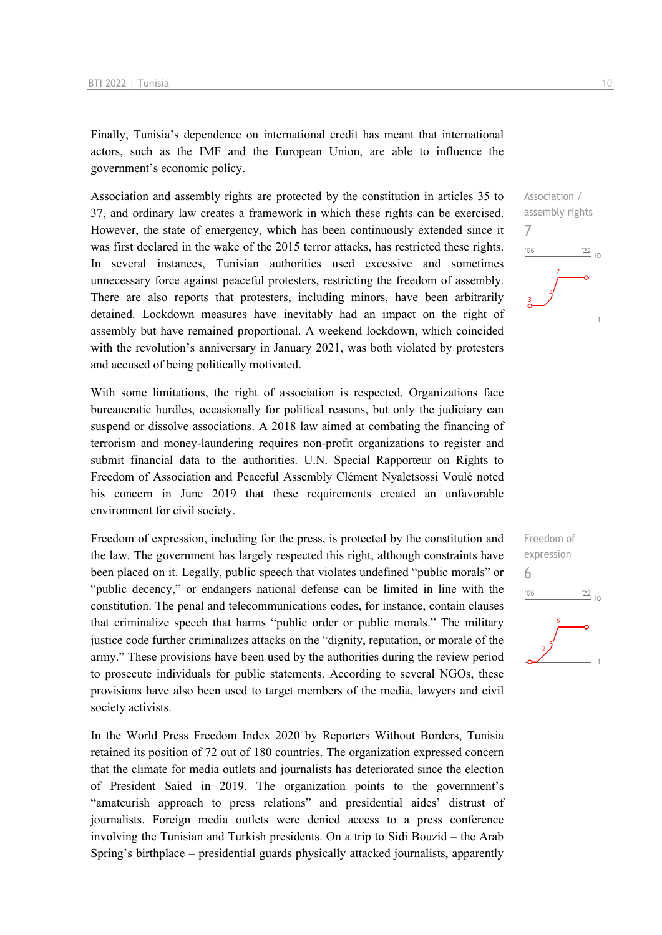Finally, Tunisia's dependence on international credit has meant that international actors, such as the IMF and the European Union, are able to influence the government's economic policy.

Association and assembly rights are protected by the constitution in articles 35 to 37, and ordinary law creates a framework in which these rights can be exercised. However, the state of emergency, which has been continuously extended since it was first declared in the wake of the 2015 terror attacks, has restricted these rights. In several instances, Tunisian authorities used excessive and sometimes unnecessary force against peaceful protesters, restricting the freedom of assembly. There are also reports that protesters, including minors, have been arbitrarily detained. Lockdown measures have inevitably had an impact on the right of assembly but have remained proportional. A weekend lockdown, which coincided with the revolution's anniversary in January 2021, was both violated by protesters and accused of being politically motivated.

With some limitations, the right of association is respected. Organizations face bureaucratic hurdles, occasionally for political reasons, but only the judiciary can suspend or dissolve associations. A 2018 law aimed at combating the financing of terrorism and money-laundering requires non-profit organizations to register and submit financial data to the authorities. U.N. Special Rapporteur on Rights to Freedom of Association and Peaceful Assembly Clément Nyaletsossi Voulé noted his concern in June 2019 that these requirements created an unfavorable environment for civil society.

Freedom of expression, including for the press, is protected by the constitution and the law. The government has largely respected this right, although constraints have been placed on it. Legally, public speech that violates undefined "public morals" or "public decency," or endangers national defense can be limited in line with the constitution. The penal and telecommunications codes, for instance, contain clauses that criminalize speech that harms "public order or public morals." The military justice code further criminalizes attacks on the "dignity, reputation, or morale of the army." These provisions have been used by the authorities during the review period to prosecute individuals for public statements. According to several NGOs, these provisions have also been used to target members of the media, lawyers and civil society activists.

In the World Press Freedom Index 2020 by Reporters Without Borders, Tunisia retained its position of 72 out of 180 countries. The organization expressed concern that the climate for media outlets and journalists has deteriorated since the election of President Saied in 2019. The organization points to the government's "amateurish approach to press relations" and presidential aides' distrust of journalists. Foreign media outlets were denied access to a press conference involving the Tunisian and Turkish presidents. On a trip to Sidi Bouzid – the Arab Spring's birthplace – presidential guards physically attacked journalists, apparently

7  $06'$  $\frac{122}{10}$ 

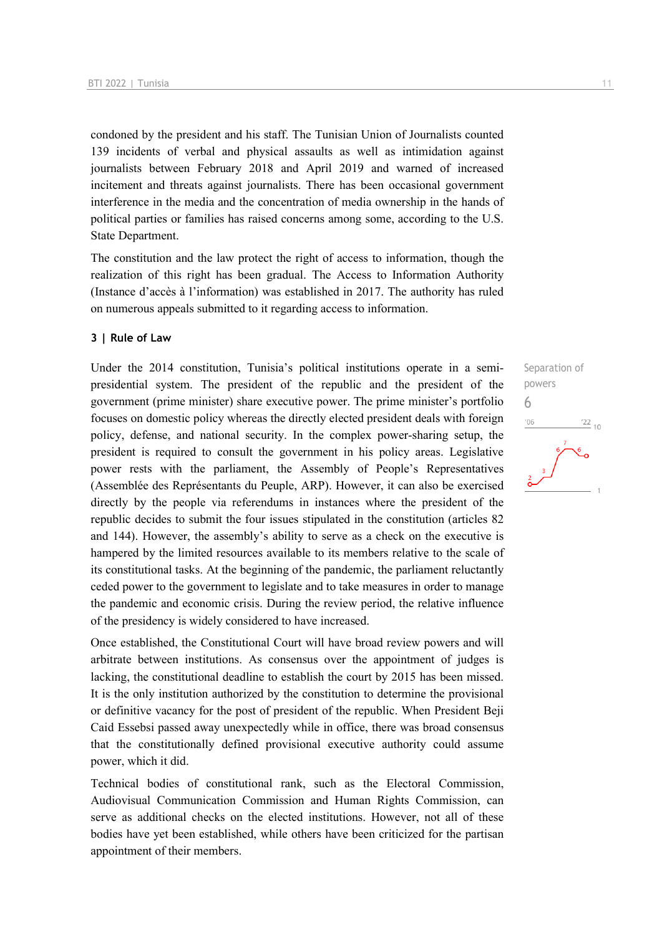condoned by the president and his staff. The Tunisian Union of Journalists counted 139 incidents of verbal and physical assaults as well as intimidation against journalists between February 2018 and April 2019 and warned of increased incitement and threats against journalists. There has been occasional government interference in the media and the concentration of media ownership in the hands of political parties or families has raised concerns among some, according to the U.S. State Department.

The constitution and the law protect the right of access to information, though the realization of this right has been gradual. The Access to Information Authority (Instance d'accès à l'information) was established in 2017. The authority has ruled on numerous appeals submitted to it regarding access to information.

#### **3 | Rule of Law**

Under the 2014 constitution, Tunisia's political institutions operate in a semipresidential system. The president of the republic and the president of the government (prime minister) share executive power. The prime minister's portfolio focuses on domestic policy whereas the directly elected president deals with foreign policy, defense, and national security. In the complex power-sharing setup, the president is required to consult the government in his policy areas. Legislative power rests with the parliament, the Assembly of People's Representatives (Assemblée des Représentants du Peuple, ARP). However, it can also be exercised directly by the people via referendums in instances where the president of the republic decides to submit the four issues stipulated in the constitution (articles 82 and 144). However, the assembly's ability to serve as a check on the executive is hampered by the limited resources available to its members relative to the scale of its constitutional tasks. At the beginning of the pandemic, the parliament reluctantly ceded power to the government to legislate and to take measures in order to manage the pandemic and economic crisis. During the review period, the relative influence of the presidency is widely considered to have increased.

Once established, the Constitutional Court will have broad review powers and will arbitrate between institutions. As consensus over the appointment of judges is lacking, the constitutional deadline to establish the court by 2015 has been missed. It is the only institution authorized by the constitution to determine the provisional or definitive vacancy for the post of president of the republic. When President Beji Caid Essebsi passed away unexpectedly while in office, there was broad consensus that the constitutionally defined provisional executive authority could assume power, which it did.

Technical bodies of constitutional rank, such as the Electoral Commission, Audiovisual Communication Commission and Human Rights Commission, can serve as additional checks on the elected institutions. However, not all of these bodies have yet been established, while others have been criticized for the partisan appointment of their members.

Separation of powers 6 $\frac{22}{10}$  $'06$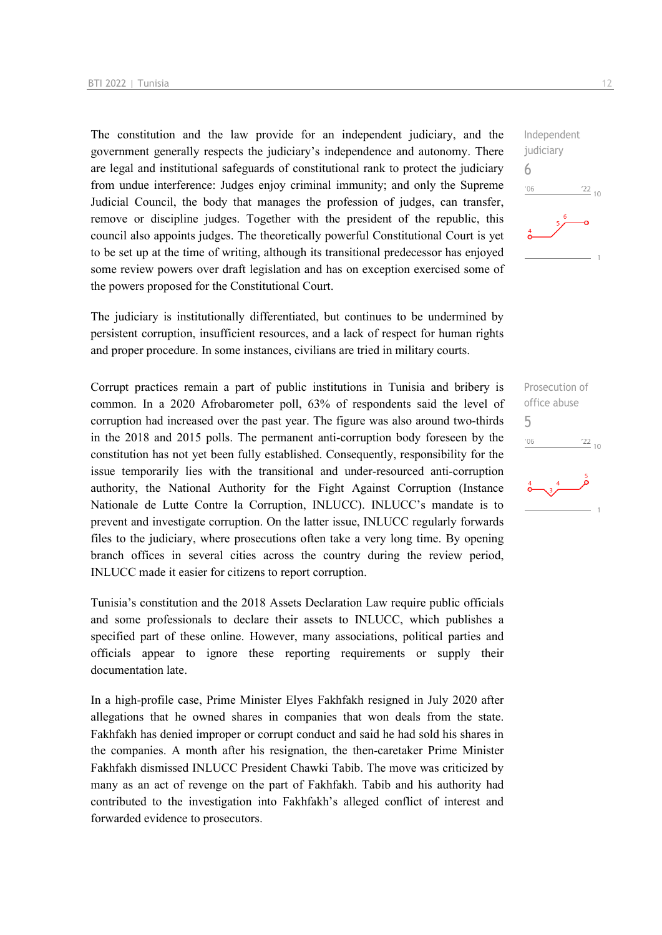The constitution and the law provide for an independent judiciary, and the government generally respects the judiciary's independence and autonomy. There are legal and institutional safeguards of constitutional rank to protect the judiciary from undue interference: Judges enjoy criminal immunity; and only the Supreme Judicial Council, the body that manages the profession of judges, can transfer, remove or discipline judges. Together with the president of the republic, this council also appoints judges. The theoretically powerful Constitutional Court is yet to be set up at the time of writing, although its transitional predecessor has enjoyed some review powers over draft legislation and has on exception exercised some of the powers proposed for the Constitutional Court.

The judiciary is institutionally differentiated, but continues to be undermined by persistent corruption, insufficient resources, and a lack of respect for human rights and proper procedure. In some instances, civilians are tried in military courts.

Corrupt practices remain a part of public institutions in Tunisia and bribery is common. In a 2020 Afrobarometer poll, 63% of respondents said the level of corruption had increased over the past year. The figure was also around two-thirds in the 2018 and 2015 polls. The permanent anti-corruption body foreseen by the constitution has not yet been fully established. Consequently, responsibility for the issue temporarily lies with the transitional and under-resourced anti-corruption authority, the National Authority for the Fight Against Corruption (Instance Nationale de Lutte Contre la Corruption, INLUCC). INLUCC's mandate is to prevent and investigate corruption. On the latter issue, INLUCC regularly forwards files to the judiciary, where prosecutions often take a very long time. By opening branch offices in several cities across the country during the review period, INLUCC made it easier for citizens to report corruption.

Tunisia's constitution and the 2018 Assets Declaration Law require public officials and some professionals to declare their assets to INLUCC, which publishes a specified part of these online. However, many associations, political parties and officials appear to ignore these reporting requirements or supply their documentation late.

In a high-profile case, Prime Minister Elyes Fakhfakh resigned in July 2020 after allegations that he owned shares in companies that won deals from the state. Fakhfakh has denied improper or corrupt conduct and said he had sold his shares in the companies. A month after his resignation, the then-caretaker Prime Minister Fakhfakh dismissed INLUCC President Chawki Tabib. The move was criticized by many as an act of revenge on the part of Fakhfakh. Tabib and his authority had contributed to the investigation into Fakhfakh's alleged conflict of interest and forwarded evidence to prosecutors.

Independent judiciary 6  $^{\prime}06$  $\frac{22}{10}$ 

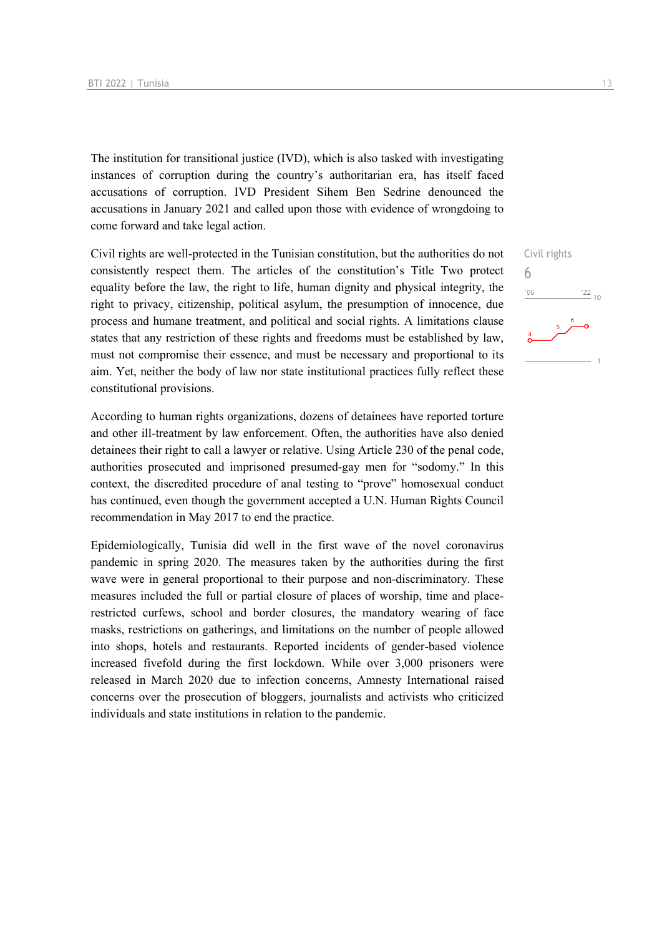The institution for transitional justice (IVD), which is also tasked with investigating instances of corruption during the country's authoritarian era, has itself faced accusations of corruption. IVD President Sihem Ben Sedrine denounced the accusations in January 2021 and called upon those with evidence of wrongdoing to come forward and take legal action.

Civil rights are well-protected in the Tunisian constitution, but the authorities do not consistently respect them. The articles of the constitution's Title Two protect equality before the law, the right to life, human dignity and physical integrity, the right to privacy, citizenship, political asylum, the presumption of innocence, due process and humane treatment, and political and social rights. A limitations clause states that any restriction of these rights and freedoms must be established by law, must not compromise their essence, and must be necessary and proportional to its aim. Yet, neither the body of law nor state institutional practices fully reflect these constitutional provisions.

According to human rights organizations, dozens of detainees have reported torture and other ill-treatment by law enforcement. Often, the authorities have also denied detainees their right to call a lawyer or relative. Using Article 230 of the penal code, authorities prosecuted and imprisoned presumed-gay men for "sodomy." In this context, the discredited procedure of anal testing to "prove" homosexual conduct has continued, even though the government accepted a U.N. Human Rights Council recommendation in May 2017 to end the practice.

Epidemiologically, Tunisia did well in the first wave of the novel coronavirus pandemic in spring 2020. The measures taken by the authorities during the first wave were in general proportional to their purpose and non-discriminatory. These measures included the full or partial closure of places of worship, time and placerestricted curfews, school and border closures, the mandatory wearing of face masks, restrictions on gatherings, and limitations on the number of people allowed into shops, hotels and restaurants. Reported incidents of gender-based violence increased fivefold during the first lockdown. While over 3,000 prisoners were released in March 2020 due to infection concerns, Amnesty International raised concerns over the prosecution of bloggers, journalists and activists who criticized individuals and state institutions in relation to the pandemic.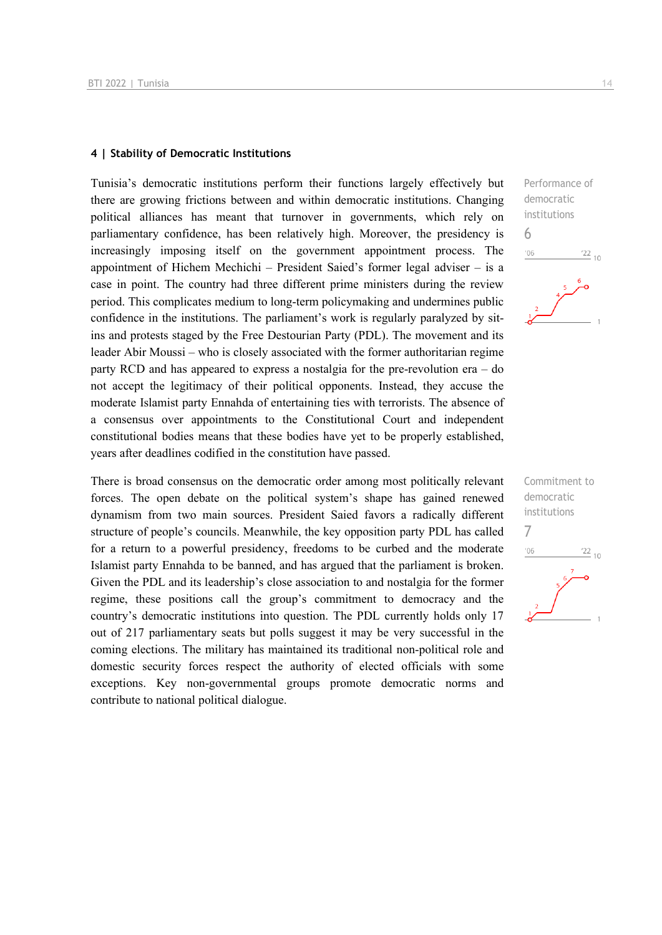#### **4 | Stability of Democratic Institutions**

Tunisia's democratic institutions perform their functions largely effectively but there are growing frictions between and within democratic institutions. Changing political alliances has meant that turnover in governments, which rely on parliamentary confidence, has been relatively high. Moreover, the presidency is increasingly imposing itself on the government appointment process. The appointment of Hichem Mechichi – President Saied's former legal adviser – is a case in point. The country had three different prime ministers during the review period. This complicates medium to long-term policymaking and undermines public confidence in the institutions. The parliament's work is regularly paralyzed by sitins and protests staged by the Free Destourian Party (PDL). The movement and its leader Abir Moussi – who is closely associated with the former authoritarian regime party RCD and has appeared to express a nostalgia for the pre-revolution era – do not accept the legitimacy of their political opponents. Instead, they accuse the moderate Islamist party Ennahda of entertaining ties with terrorists. The absence of a consensus over appointments to the Constitutional Court and independent constitutional bodies means that these bodies have yet to be properly established, years after deadlines codified in the constitution have passed.

There is broad consensus on the democratic order among most politically relevant forces. The open debate on the political system's shape has gained renewed dynamism from two main sources. President Saied favors a radically different structure of people's councils. Meanwhile, the key opposition party PDL has called for a return to a powerful presidency, freedoms to be curbed and the moderate Islamist party Ennahda to be banned, and has argued that the parliament is broken. Given the PDL and its leadership's close association to and nostalgia for the former regime, these positions call the group's commitment to democracy and the country's democratic institutions into question. The PDL currently holds only 17 out of 217 parliamentary seats but polls suggest it may be very successful in the coming elections. The military has maintained its traditional non-political role and domestic security forces respect the authority of elected officials with some exceptions. Key non-governmental groups promote democratic norms and contribute to national political dialogue.



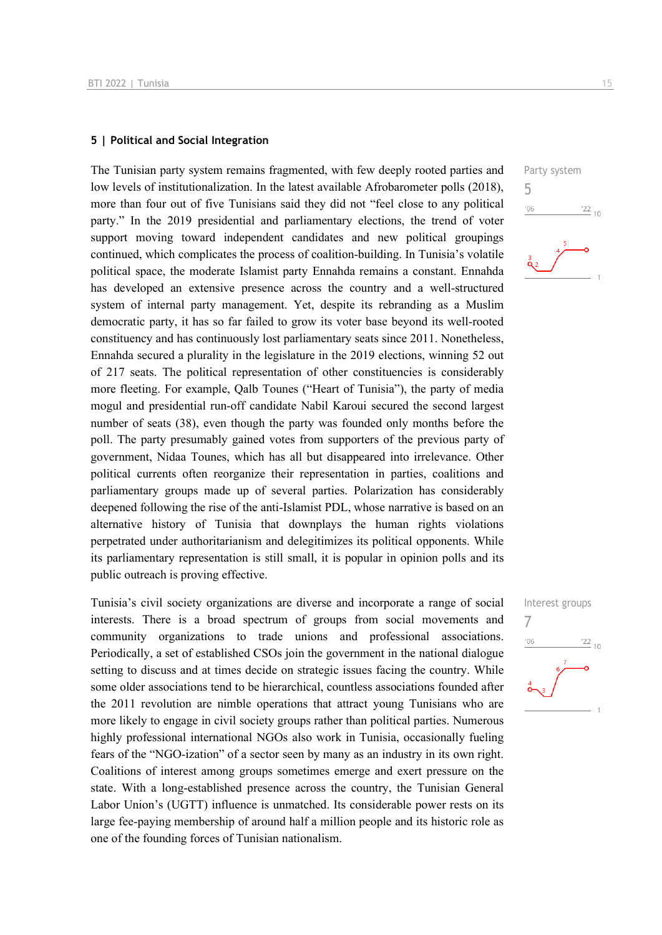#### **5 | Political and Social Integration**

The Tunisian party system remains fragmented, with few deeply rooted parties and low levels of institutionalization. In the latest available Afrobarometer polls (2018), more than four out of five Tunisians said they did not "feel close to any political party." In the 2019 presidential and parliamentary elections, the trend of voter support moving toward independent candidates and new political groupings continued, which complicates the process of coalition-building. In Tunisia's volatile political space, the moderate Islamist party Ennahda remains a constant. Ennahda has developed an extensive presence across the country and a well-structured system of internal party management. Yet, despite its rebranding as a Muslim democratic party, it has so far failed to grow its voter base beyond its well-rooted constituency and has continuously lost parliamentary seats since 2011. Nonetheless, Ennahda secured a plurality in the legislature in the 2019 elections, winning 52 out of 217 seats. The political representation of other constituencies is considerably more fleeting. For example, Qalb Tounes ("Heart of Tunisia"), the party of media mogul and presidential run-off candidate Nabil Karoui secured the second largest number of seats (38), even though the party was founded only months before the poll. The party presumably gained votes from supporters of the previous party of government, Nidaa Tounes, which has all but disappeared into irrelevance. Other political currents often reorganize their representation in parties, coalitions and parliamentary groups made up of several parties. Polarization has considerably deepened following the rise of the anti-Islamist PDL, whose narrative is based on an alternative history of Tunisia that downplays the human rights violations perpetrated under authoritarianism and delegitimizes its political opponents. While its parliamentary representation is still small, it is popular in opinion polls and its public outreach is proving effective.

Tunisia's civil society organizations are diverse and incorporate a range of social interests. There is a broad spectrum of groups from social movements and community organizations to trade unions and professional associations. Periodically, a set of established CSOs join the government in the national dialogue setting to discuss and at times decide on strategic issues facing the country. While some older associations tend to be hierarchical, countless associations founded after the 2011 revolution are nimble operations that attract young Tunisians who are more likely to engage in civil society groups rather than political parties. Numerous highly professional international NGOs also work in Tunisia, occasionally fueling fears of the "NGO-ization" of a sector seen by many as an industry in its own right. Coalitions of interest among groups sometimes emerge and exert pressure on the state. With a long-established presence across the country, the Tunisian General Labor Union's (UGTT) influence is unmatched. Its considerable power rests on its large fee-paying membership of around half a million people and its historic role as one of the founding forces of Tunisian nationalism.

Party system 5  $\frac{22}{10}$  $-06$ 

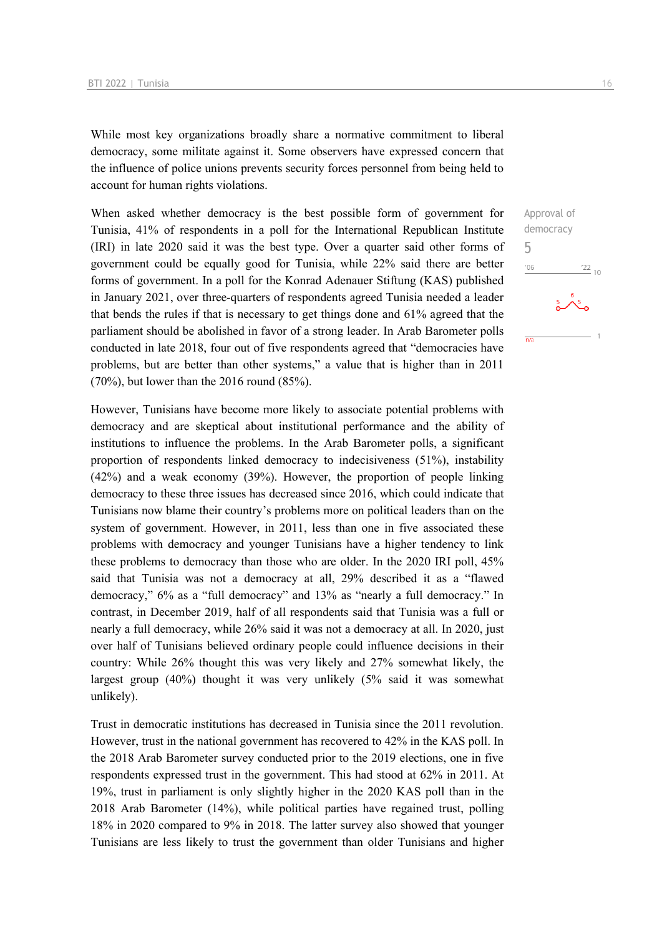While most key organizations broadly share a normative commitment to liberal democracy, some militate against it. Some observers have expressed concern that the influence of police unions prevents security forces personnel from being held to account for human rights violations.

When asked whether democracy is the best possible form of government for Tunisia, 41% of respondents in a poll for the International Republican Institute (IRI) in late 2020 said it was the best type. Over a quarter said other forms of government could be equally good for Tunisia, while 22% said there are better forms of government. In a poll for the Konrad Adenauer Stiftung (KAS) published in January 2021, over three-quarters of respondents agreed Tunisia needed a leader that bends the rules if that is necessary to get things done and 61% agreed that the parliament should be abolished in favor of a strong leader. In Arab Barometer polls conducted in late 2018, four out of five respondents agreed that "democracies have problems, but are better than other systems," a value that is higher than in 2011 (70%), but lower than the 2016 round (85%).

However, Tunisians have become more likely to associate potential problems with democracy and are skeptical about institutional performance and the ability of institutions to influence the problems. In the Arab Barometer polls, a significant proportion of respondents linked democracy to indecisiveness (51%), instability (42%) and a weak economy (39%). However, the proportion of people linking democracy to these three issues has decreased since 2016, which could indicate that Tunisians now blame their country's problems more on political leaders than on the system of government. However, in 2011, less than one in five associated these problems with democracy and younger Tunisians have a higher tendency to link these problems to democracy than those who are older. In the 2020 IRI poll, 45% said that Tunisia was not a democracy at all, 29% described it as a "flawed democracy," 6% as a "full democracy" and 13% as "nearly a full democracy." In contrast, in December 2019, half of all respondents said that Tunisia was a full or nearly a full democracy, while 26% said it was not a democracy at all. In 2020, just over half of Tunisians believed ordinary people could influence decisions in their country: While 26% thought this was very likely and 27% somewhat likely, the largest group (40%) thought it was very unlikely (5% said it was somewhat unlikely).

Trust in democratic institutions has decreased in Tunisia since the 2011 revolution. However, trust in the national government has recovered to 42% in the KAS poll. In the 2018 Arab Barometer survey conducted prior to the 2019 elections, one in five respondents expressed trust in the government. This had stood at 62% in 2011. At 19%, trust in parliament is only slightly higher in the 2020 KAS poll than in the 2018 Arab Barometer (14%), while political parties have regained trust, polling 18% in 2020 compared to 9% in 2018. The latter survey also showed that younger Tunisians are less likely to trust the government than older Tunisians and higher

Approval of democracy

 $^{22}$  10

5 $-06$ 

 $\overline{AB}$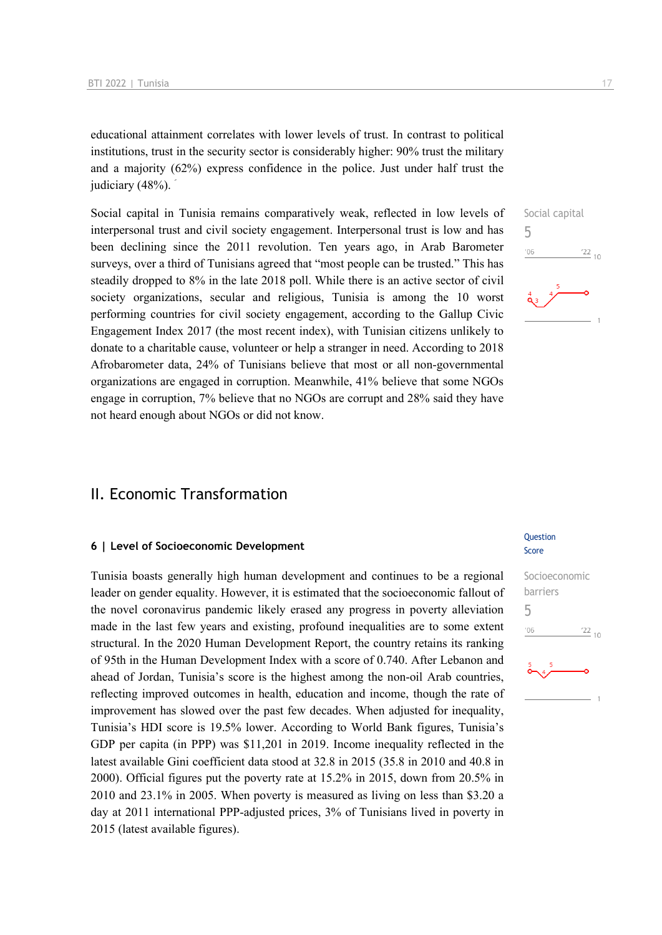educational attainment correlates with lower levels of trust. In contrast to political institutions, trust in the security sector is considerably higher: 90% trust the military and a majority (62%) express confidence in the police. Just under half trust the judiciary  $(48%)$ .

Social capital in Tunisia remains comparatively weak, reflected in low levels of interpersonal trust and civil society engagement. Interpersonal trust is low and has been declining since the 2011 revolution. Ten years ago, in Arab Barometer surveys, over a third of Tunisians agreed that "most people can be trusted." This has steadily dropped to 8% in the late 2018 poll. While there is an active sector of civil society organizations, secular and religious, Tunisia is among the 10 worst performing countries for civil society engagement, according to the Gallup Civic Engagement Index 2017 (the most recent index), with Tunisian citizens unlikely to donate to a charitable cause, volunteer or help a stranger in need. According to 2018 Afrobarometer data, 24% of Tunisians believe that most or all non-governmental organizations are engaged in corruption. Meanwhile, 41% believe that some NGOs engage in corruption, 7% believe that no NGOs are corrupt and 28% said they have not heard enough about NGOs or did not know.

## Social capital 5  $\frac{22}{10}$  $-06$

## II. Economic Transformation

#### **6 | Level of Socioeconomic Development**

Tunisia boasts generally high human development and continues to be a regional leader on gender equality. However, it is estimated that the socioeconomic fallout of the novel coronavirus pandemic likely erased any progress in poverty alleviation made in the last few years and existing, profound inequalities are to some extent structural. In the 2020 Human Development Report, the country retains its ranking of 95th in the Human Development Index with a score of 0.740. After Lebanon and ahead of Jordan, Tunisia's score is the highest among the non-oil Arab countries, reflecting improved outcomes in health, education and income, though the rate of improvement has slowed over the past few decades. When adjusted for inequality, Tunisia's HDI score is 19.5% lower. According to World Bank figures, Tunisia's GDP per capita (in PPP) was \$11,201 in 2019. Income inequality reflected in the latest available Gini coefficient data stood at 32.8 in 2015 (35.8 in 2010 and 40.8 in 2000). Official figures put the poverty rate at 15.2% in 2015, down from 20.5% in 2010 and 23.1% in 2005. When poverty is measured as living on less than \$3.20 a day at 2011 international PPP-adjusted prices, 3% of Tunisians lived in poverty in 2015 (latest available figures).

#### Question Score

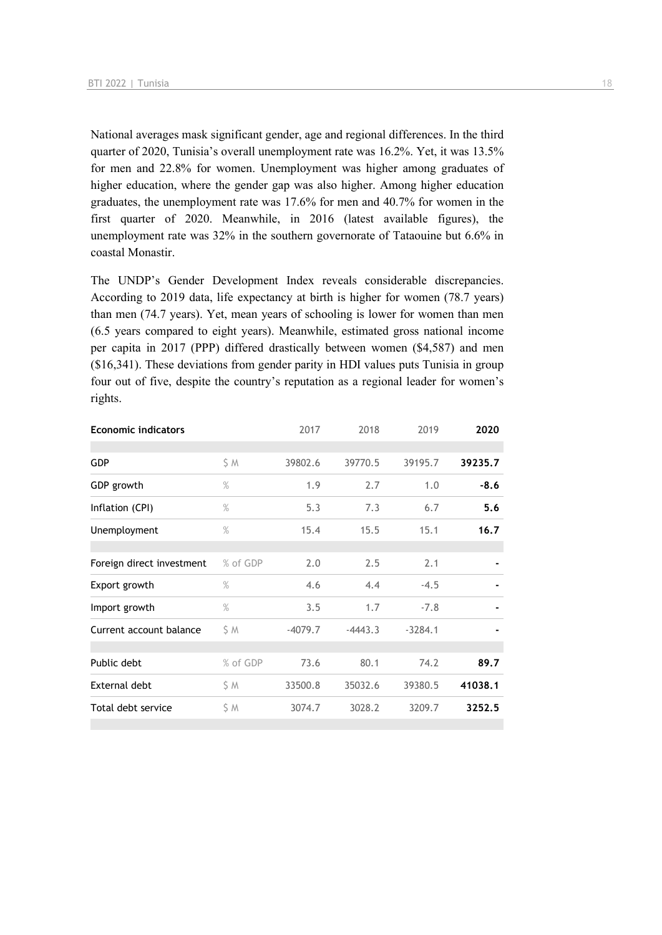National averages mask significant gender, age and regional differences. In the third quarter of 2020, Tunisia's overall unemployment rate was 16.2%. Yet, it was 13.5% for men and 22.8% for women. Unemployment was higher among graduates of higher education, where the gender gap was also higher. Among higher education graduates, the unemployment rate was 17.6% for men and 40.7% for women in the first quarter of 2020. Meanwhile, in 2016 (latest available figures), the unemployment rate was 32% in the southern governorate of Tataouine but 6.6% in coastal Monastir.

The UNDP's Gender Development Index reveals considerable discrepancies. According to 2019 data, life expectancy at birth is higher for women (78.7 years) than men (74.7 years). Yet, mean years of schooling is lower for women than men (6.5 years compared to eight years). Meanwhile, estimated gross national income per capita in 2017 (PPP) differed drastically between women (\$4,587) and men (\$16,341). These deviations from gender parity in HDI values puts Tunisia in group four out of five, despite the country's reputation as a regional leader for women's rights.

| <b>Economic indicators</b> |               | 2017      | 2018      | 2019      | 2020    |
|----------------------------|---------------|-----------|-----------|-----------|---------|
|                            |               |           |           |           |         |
| <b>GDP</b>                 | \$ M          | 39802.6   | 39770.5   | 39195.7   | 39235.7 |
| GDP growth                 | $\%$          | 1.9       | 2.7       | 1.0       | $-8.6$  |
| Inflation (CPI)            | $\%$          | 5.3       | 7.3       | 6.7       | 5.6     |
| Unemployment               | $\frac{9}{6}$ | 15.4      | 15.5      | 15.1      | 16.7    |
|                            |               |           |           |           |         |
| Foreign direct investment  | % of GDP      | 2.0       | 2.5       | 2.1       |         |
| Export growth              | $\%$          | 4.6       | 4.4       | $-4.5$    |         |
| Import growth              | $\%$          | 3.5       | 1.7       | $-7.8$    |         |
| Current account balance    | ŚΜ            | $-4079.7$ | $-4443.3$ | $-3284.1$ |         |
|                            |               |           |           |           |         |
| Public debt                | % of GDP      | 73.6      | 80.1      | 74.2      | 89.7    |
| External debt              | \$ Μ          | 33500.8   | 35032.6   | 39380.5   | 41038.1 |
| Total debt service         | ŚΜ            | 3074.7    | 3028.2    | 3209.7    | 3252.5  |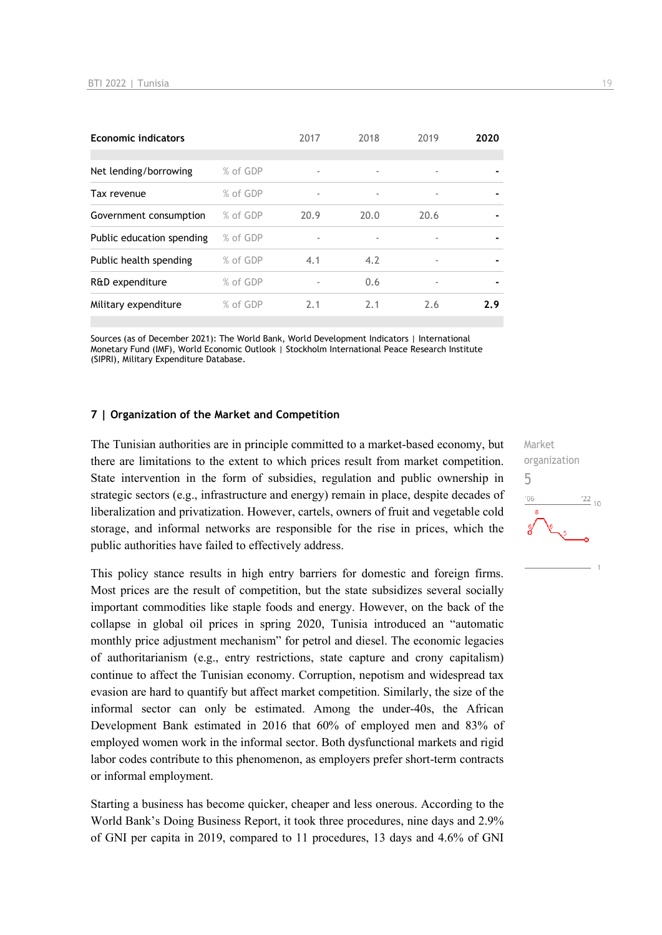| <b>Economic indicators</b> |          | 2017 | 2018 | 2019 | 2020           |
|----------------------------|----------|------|------|------|----------------|
|                            |          |      |      |      |                |
| Net lending/borrowing      | % of GDP | ٠    |      | ٠    |                |
| Tax revenue                | % of GDP | ٠    |      | ٠    | $\blacksquare$ |
| Government consumption     | % of GDP | 20.9 | 20.0 | 20.6 |                |
| Public education spending  | % of GDP | ٠    |      | ٠    |                |
| Public health spending     | % of GDP | 4.1  | 4.2  | ٠    | $\blacksquare$ |
| R&D expenditure            | % of GDP |      | 0.6  | ٠    |                |
| Military expenditure       | % of GDP | 2.1  | 2.1  | 2.6  | 2.9            |
|                            |          |      |      |      |                |

Sources (as of December 2021): The World Bank, World Development Indicators | International Monetary Fund (IMF), World Economic Outlook | Stockholm International Peace Research Institute (SIPRI), Military Expenditure Database.

#### **7 | Organization of the Market and Competition**

The Tunisian authorities are in principle committed to a market-based economy, but there are limitations to the extent to which prices result from market competition. State intervention in the form of subsidies, regulation and public ownership in strategic sectors (e.g., infrastructure and energy) remain in place, despite decades of liberalization and privatization. However, cartels, owners of fruit and vegetable cold storage, and informal networks are responsible for the rise in prices, which the public authorities have failed to effectively address.

This policy stance results in high entry barriers for domestic and foreign firms. Most prices are the result of competition, but the state subsidizes several socially important commodities like staple foods and energy. However, on the back of the collapse in global oil prices in spring 2020, Tunisia introduced an "automatic monthly price adjustment mechanism" for petrol and diesel. The economic legacies of authoritarianism (e.g., entry restrictions, state capture and crony capitalism) continue to affect the Tunisian economy. Corruption, nepotism and widespread tax evasion are hard to quantify but affect market competition. Similarly, the size of the informal sector can only be estimated. Among the under-40s, the African Development Bank estimated in 2016 that 60% of employed men and 83% of employed women work in the informal sector. Both dysfunctional markets and rigid labor codes contribute to this phenomenon, as employers prefer short-term contracts or informal employment.

Starting a business has become quicker, cheaper and less onerous. According to the World Bank's Doing Business Report, it took three procedures, nine days and 2.9% of GNI per capita in 2019, compared to 11 procedures, 13 days and 4.6% of GNI Market organization 5 $\frac{22}{10}$  $^{\prime}06$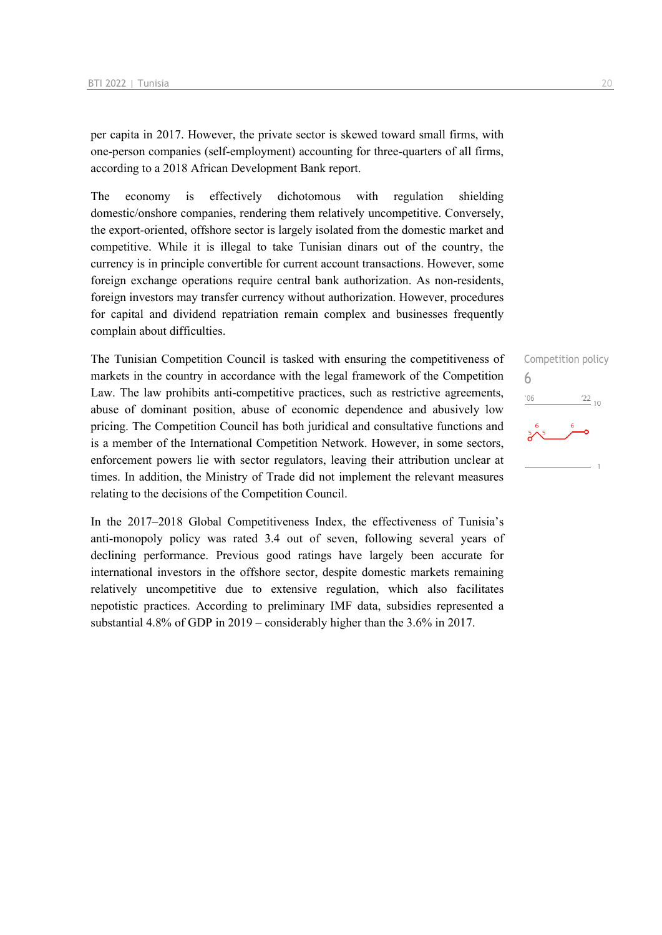per capita in 2017. However, the private sector is skewed toward small firms, with one-person companies (self-employment) accounting for three-quarters of all firms, according to a 2018 African Development Bank report.

The economy is effectively dichotomous with regulation shielding domestic/onshore companies, rendering them relatively uncompetitive. Conversely, the export-oriented, offshore sector is largely isolated from the domestic market and competitive. While it is illegal to take Tunisian dinars out of the country, the currency is in principle convertible for current account transactions. However, some foreign exchange operations require central bank authorization. As non-residents, foreign investors may transfer currency without authorization. However, procedures for capital and dividend repatriation remain complex and businesses frequently complain about difficulties.

The Tunisian Competition Council is tasked with ensuring the competitiveness of markets in the country in accordance with the legal framework of the Competition Law. The law prohibits anti-competitive practices, such as restrictive agreements, abuse of dominant position, abuse of economic dependence and abusively low pricing. The Competition Council has both juridical and consultative functions and is a member of the International Competition Network. However, in some sectors, enforcement powers lie with sector regulators, leaving their attribution unclear at times. In addition, the Ministry of Trade did not implement the relevant measures relating to the decisions of the Competition Council.

In the 2017–2018 Global Competitiveness Index, the effectiveness of Tunisia's anti-monopoly policy was rated 3.4 out of seven, following several years of declining performance. Previous good ratings have largely been accurate for international investors in the offshore sector, despite domestic markets remaining relatively uncompetitive due to extensive regulation, which also facilitates nepotistic practices. According to preliminary IMF data, subsidies represented a substantial 4.8% of GDP in 2019 – considerably higher than the 3.6% in 2017.

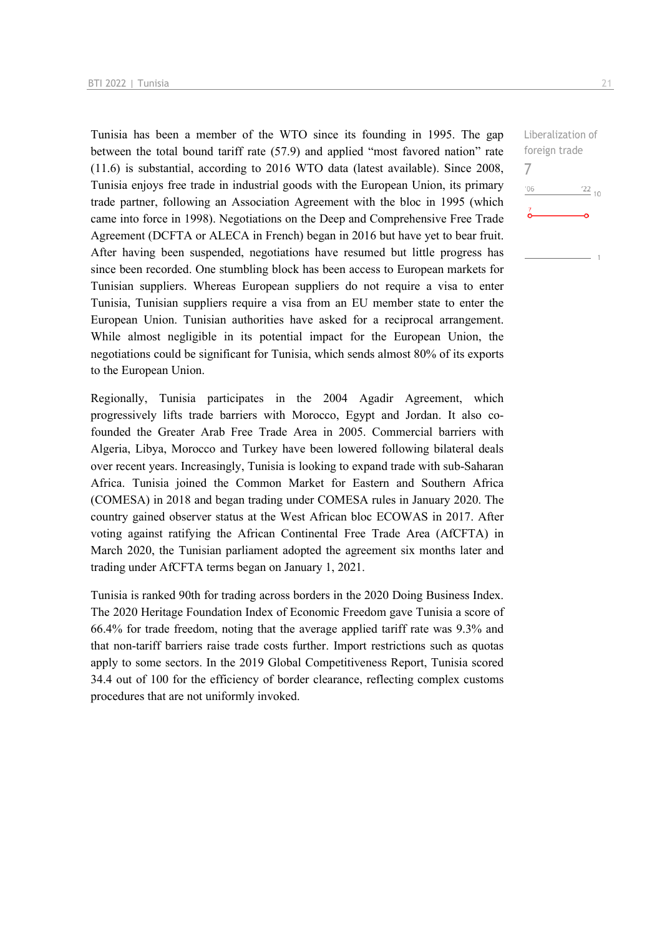Tunisia has been a member of the WTO since its founding in 1995. The gap between the total bound tariff rate (57.9) and applied "most favored nation" rate (11.6) is substantial, according to 2016 WTO data (latest available). Since 2008, Tunisia enjoys free trade in industrial goods with the European Union, its primary trade partner, following an Association Agreement with the bloc in 1995 (which came into force in 1998). Negotiations on the Deep and Comprehensive Free Trade Agreement (DCFTA or ALECA in French) began in 2016 but have yet to bear fruit. After having been suspended, negotiations have resumed but little progress has since been recorded. One stumbling block has been access to European markets for Tunisian suppliers. Whereas European suppliers do not require a visa to enter Tunisia, Tunisian suppliers require a visa from an EU member state to enter the European Union. Tunisian authorities have asked for a reciprocal arrangement. While almost negligible in its potential impact for the European Union, the negotiations could be significant for Tunisia, which sends almost 80% of its exports to the European Union.

Regionally, Tunisia participates in the 2004 Agadir Agreement, which progressively lifts trade barriers with Morocco, Egypt and Jordan. It also cofounded the Greater Arab Free Trade Area in 2005. Commercial barriers with Algeria, Libya, Morocco and Turkey have been lowered following bilateral deals over recent years. Increasingly, Tunisia is looking to expand trade with sub-Saharan Africa. Tunisia joined the Common Market for Eastern and Southern Africa (COMESA) in 2018 and began trading under COMESA rules in January 2020. The country gained observer status at the West African bloc ECOWAS in 2017. After voting against ratifying the African Continental Free Trade Area (AfCFTA) in March 2020, the Tunisian parliament adopted the agreement six months later and trading under AfCFTA terms began on January 1, 2021.

Tunisia is ranked 90th for trading across borders in the 2020 Doing Business Index. The 2020 Heritage Foundation Index of Economic Freedom gave Tunisia a score of 66.4% for trade freedom, noting that the average applied tariff rate was 9.3% and that non-tariff barriers raise trade costs further. Import restrictions such as quotas apply to some sectors. In the 2019 Global Competitiveness Report, Tunisia scored 34.4 out of 100 for the efficiency of border clearance, reflecting complex customs procedures that are not uniformly invoked.

Liberalization of foreign trade 7 $^{\prime}06$  $\frac{22}{10}$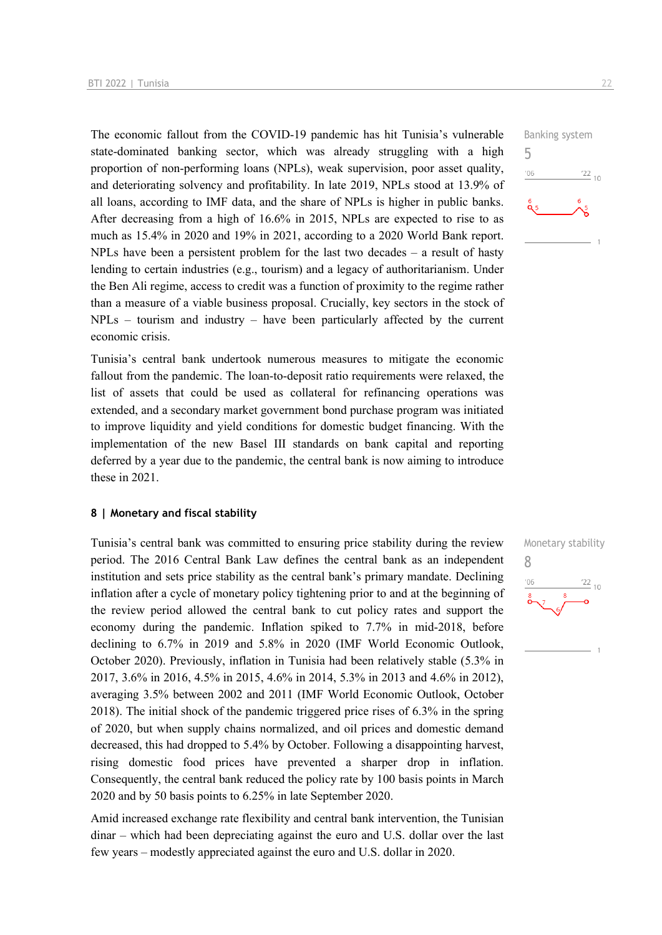The economic fallout from the COVID-19 pandemic has hit Tunisia's vulnerable state-dominated banking sector, which was already struggling with a high proportion of non-performing loans (NPLs), weak supervision, poor asset quality, and deteriorating solvency and profitability. In late 2019, NPLs stood at 13.9% of all loans, according to IMF data, and the share of NPLs is higher in public banks. After decreasing from a high of 16.6% in 2015, NPLs are expected to rise to as much as 15.4% in 2020 and 19% in 2021, according to a 2020 World Bank report. NPLs have been a persistent problem for the last two decades  $-$  a result of hasty lending to certain industries (e.g., tourism) and a legacy of authoritarianism. Under the Ben Ali regime, access to credit was a function of proximity to the regime rather than a measure of a viable business proposal. Crucially, key sectors in the stock of NPLs – tourism and industry – have been particularly affected by the current economic crisis.

Tunisia's central bank undertook numerous measures to mitigate the economic fallout from the pandemic. The loan-to-deposit ratio requirements were relaxed, the list of assets that could be used as collateral for refinancing operations was extended, and a secondary market government bond purchase program was initiated to improve liquidity and yield conditions for domestic budget financing. With the implementation of the new Basel III standards on bank capital and reporting deferred by a year due to the pandemic, the central bank is now aiming to introduce these in 2021.

#### **8 | Monetary and fiscal stability**

Tunisia's central bank was committed to ensuring price stability during the review period. The 2016 Central Bank Law defines the central bank as an independent institution and sets price stability as the central bank's primary mandate. Declining inflation after a cycle of monetary policy tightening prior to and at the beginning of the review period allowed the central bank to cut policy rates and support the economy during the pandemic. Inflation spiked to 7.7% in mid-2018, before declining to 6.7% in 2019 and 5.8% in 2020 (IMF World Economic Outlook, October 2020). Previously, inflation in Tunisia had been relatively stable (5.3% in 2017, 3.6% in 2016, 4.5% in 2015, 4.6% in 2014, 5.3% in 2013 and 4.6% in 2012), averaging 3.5% between 2002 and 2011 (IMF World Economic Outlook, October 2018). The initial shock of the pandemic triggered price rises of 6.3% in the spring of 2020, but when supply chains normalized, and oil prices and domestic demand decreased, this had dropped to 5.4% by October. Following a disappointing harvest, rising domestic food prices have prevented a sharper drop in inflation. Consequently, the central bank reduced the policy rate by 100 basis points in March 2020 and by 50 basis points to 6.25% in late September 2020.

Amid increased exchange rate flexibility and central bank intervention, the Tunisian dinar – which had been depreciating against the euro and U.S. dollar over the last few years – modestly appreciated against the euro and U.S. dollar in 2020.



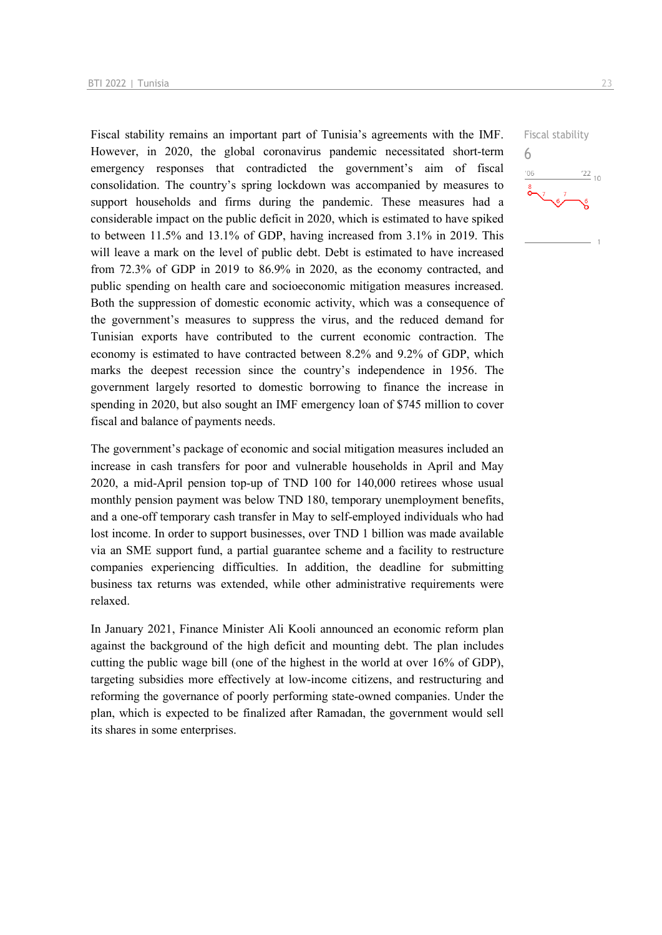Fiscal stability remains an important part of Tunisia's agreements with the IMF. However, in 2020, the global coronavirus pandemic necessitated short-term emergency responses that contradicted the government's aim of fiscal consolidation. The country's spring lockdown was accompanied by measures to support households and firms during the pandemic. These measures had a considerable impact on the public deficit in 2020, which is estimated to have spiked to between 11.5% and 13.1% of GDP, having increased from 3.1% in 2019. This will leave a mark on the level of public debt. Debt is estimated to have increased from 72.3% of GDP in 2019 to 86.9% in 2020, as the economy contracted, and public spending on health care and socioeconomic mitigation measures increased. Both the suppression of domestic economic activity, which was a consequence of the government's measures to suppress the virus, and the reduced demand for Tunisian exports have contributed to the current economic contraction. The economy is estimated to have contracted between 8.2% and 9.2% of GDP, which marks the deepest recession since the country's independence in 1956. The government largely resorted to domestic borrowing to finance the increase in spending in 2020, but also sought an IMF emergency loan of \$745 million to cover fiscal and balance of payments needs.

The government's package of economic and social mitigation measures included an increase in cash transfers for poor and vulnerable households in April and May 2020, a mid-April pension top-up of TND 100 for 140,000 retirees whose usual monthly pension payment was below TND 180, temporary unemployment benefits, and a one-off temporary cash transfer in May to self-employed individuals who had lost income. In order to support businesses, over TND 1 billion was made available via an SME support fund, a partial guarantee scheme and a facility to restructure companies experiencing difficulties. In addition, the deadline for submitting business tax returns was extended, while other administrative requirements were relaxed.

In January 2021, Finance Minister Ali Kooli announced an economic reform plan against the background of the high deficit and mounting debt. The plan includes cutting the public wage bill (one of the highest in the world at over 16% of GDP), targeting subsidies more effectively at low-income citizens, and restructuring and reforming the governance of poorly performing state-owned companies. Under the plan, which is expected to be finalized after Ramadan, the government would sell its shares in some enterprises.

Fiscal stability 6 $\frac{22}{10}$  $106$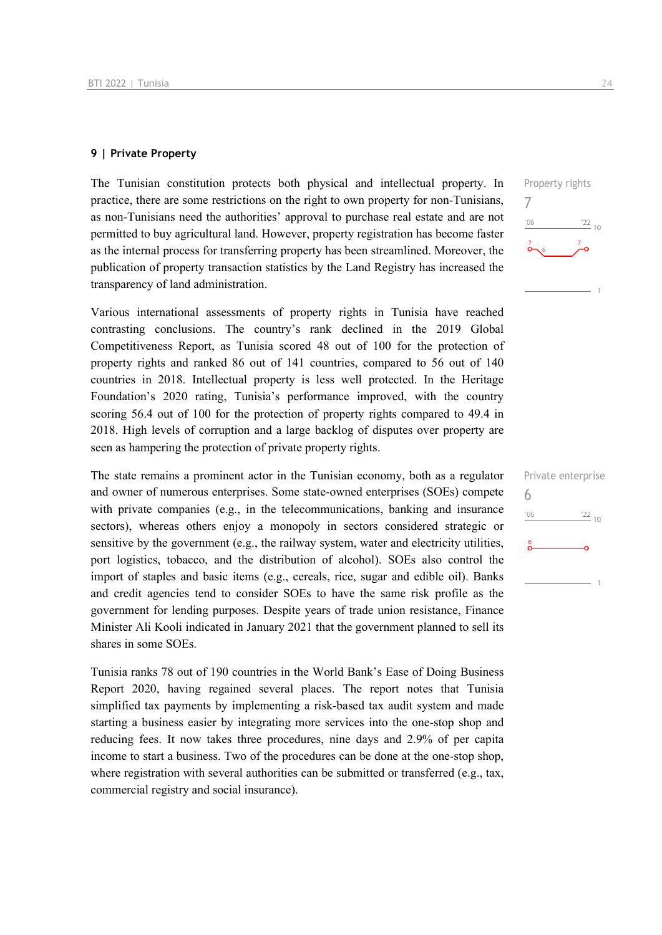#### **9 | Private Property**

The Tunisian constitution protects both physical and intellectual property. In practice, there are some restrictions on the right to own property for non-Tunisians, as non-Tunisians need the authorities' approval to purchase real estate and are not permitted to buy agricultural land. However, property registration has become faster as the internal process for transferring property has been streamlined. Moreover, the publication of property transaction statistics by the Land Registry has increased the transparency of land administration.

Various international assessments of property rights in Tunisia have reached contrasting conclusions. The country's rank declined in the 2019 Global Competitiveness Report, as Tunisia scored 48 out of 100 for the protection of property rights and ranked 86 out of 141 countries, compared to 56 out of 140 countries in 2018. Intellectual property is less well protected. In the Heritage Foundation's 2020 rating, Tunisia's performance improved, with the country scoring 56.4 out of 100 for the protection of property rights compared to 49.4 in 2018. High levels of corruption and a large backlog of disputes over property are seen as hampering the protection of private property rights.

The state remains a prominent actor in the Tunisian economy, both as a regulator and owner of numerous enterprises. Some state-owned enterprises (SOEs) compete with private companies (e.g., in the telecommunications, banking and insurance sectors), whereas others enjoy a monopoly in sectors considered strategic or sensitive by the government (e.g., the railway system, water and electricity utilities, port logistics, tobacco, and the distribution of alcohol). SOEs also control the import of staples and basic items (e.g., cereals, rice, sugar and edible oil). Banks and credit agencies tend to consider SOEs to have the same risk profile as the government for lending purposes. Despite years of trade union resistance, Finance Minister Ali Kooli indicated in January 2021 that the government planned to sell its shares in some SOEs.

Tunisia ranks 78 out of 190 countries in the World Bank's Ease of Doing Business Report 2020, having regained several places. The report notes that Tunisia simplified tax payments by implementing a risk-based tax audit system and made starting a business easier by integrating more services into the one-stop shop and reducing fees. It now takes three procedures, nine days and 2.9% of per capita income to start a business. Two of the procedures can be done at the one-stop shop, where registration with several authorities can be submitted or transferred (e.g., tax, commercial registry and social insurance).



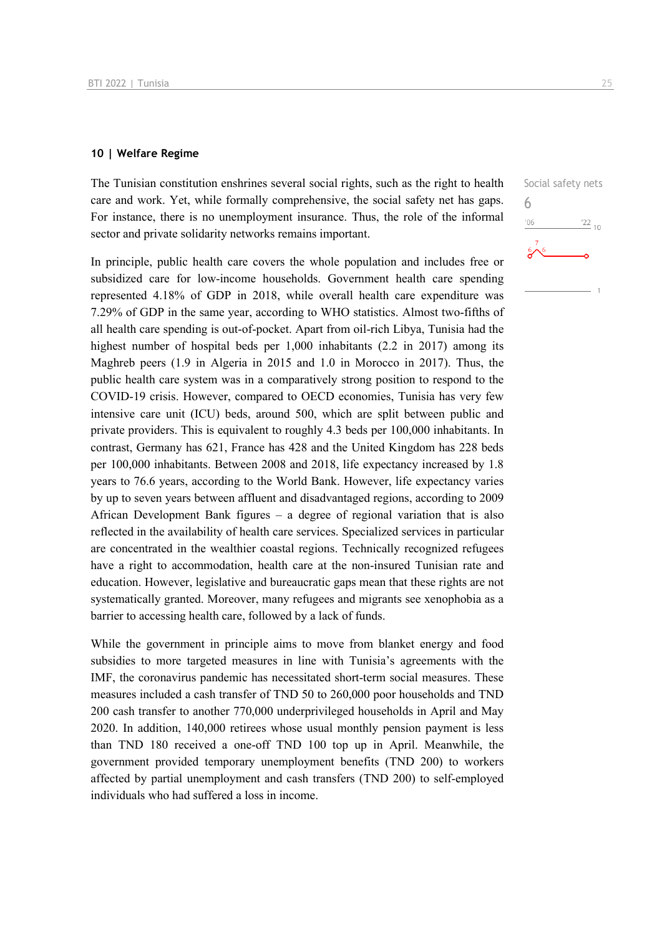#### **10 | Welfare Regime**

The Tunisian constitution enshrines several social rights, such as the right to health care and work. Yet, while formally comprehensive, the social safety net has gaps. For instance, there is no unemployment insurance. Thus, the role of the informal sector and private solidarity networks remains important.

In principle, public health care covers the whole population and includes free or subsidized care for low-income households. Government health care spending represented 4.18% of GDP in 2018, while overall health care expenditure was 7.29% of GDP in the same year, according to WHO statistics. Almost two-fifths of all health care spending is out-of-pocket. Apart from oil-rich Libya, Tunisia had the highest number of hospital beds per 1,000 inhabitants (2.2 in 2017) among its Maghreb peers (1.9 in Algeria in 2015 and 1.0 in Morocco in 2017). Thus, the public health care system was in a comparatively strong position to respond to the COVID-19 crisis. However, compared to OECD economies, Tunisia has very few intensive care unit (ICU) beds, around 500, which are split between public and private providers. This is equivalent to roughly 4.3 beds per 100,000 inhabitants. In contrast, Germany has 621, France has 428 and the United Kingdom has 228 beds per 100,000 inhabitants. Between 2008 and 2018, life expectancy increased by 1.8 years to 76.6 years, according to the World Bank. However, life expectancy varies by up to seven years between affluent and disadvantaged regions, according to 2009 African Development Bank figures – a degree of regional variation that is also reflected in the availability of health care services. Specialized services in particular are concentrated in the wealthier coastal regions. Technically recognized refugees have a right to accommodation, health care at the non-insured Tunisian rate and education. However, legislative and bureaucratic gaps mean that these rights are not systematically granted. Moreover, many refugees and migrants see xenophobia as a barrier to accessing health care, followed by a lack of funds.

While the government in principle aims to move from blanket energy and food subsidies to more targeted measures in line with Tunisia's agreements with the IMF, the coronavirus pandemic has necessitated short-term social measures. These measures included a cash transfer of TND 50 to 260,000 poor households and TND 200 cash transfer to another 770,000 underprivileged households in April and May 2020. In addition, 140,000 retirees whose usual monthly pension payment is less than TND 180 received a one-off TND 100 top up in April. Meanwhile, the government provided temporary unemployment benefits (TND 200) to workers affected by partial unemployment and cash transfers (TND 200) to self-employed individuals who had suffered a loss in income.

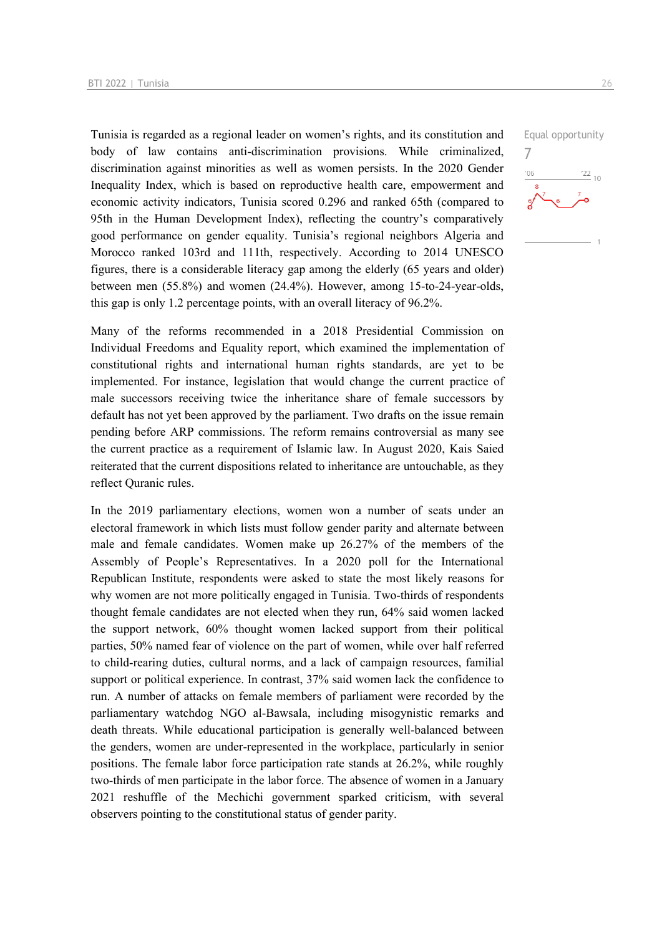Tunisia is regarded as a regional leader on women's rights, and its constitution and body of law contains anti-discrimination provisions. While criminalized, discrimination against minorities as well as women persists. In the 2020 Gender Inequality Index, which is based on reproductive health care, empowerment and economic activity indicators, Tunisia scored 0.296 and ranked 65th (compared to 95th in the Human Development Index), reflecting the country's comparatively good performance on gender equality. Tunisia's regional neighbors Algeria and Morocco ranked 103rd and 111th, respectively. According to 2014 UNESCO figures, there is a considerable literacy gap among the elderly (65 years and older) between men (55.8%) and women (24.4%). However, among 15-to-24-year-olds, this gap is only 1.2 percentage points, with an overall literacy of 96.2%.

Many of the reforms recommended in a 2018 Presidential Commission on Individual Freedoms and Equality report, which examined the implementation of constitutional rights and international human rights standards, are yet to be implemented. For instance, legislation that would change the current practice of male successors receiving twice the inheritance share of female successors by default has not yet been approved by the parliament. Two drafts on the issue remain pending before ARP commissions. The reform remains controversial as many see the current practice as a requirement of Islamic law. In August 2020, Kais Saied reiterated that the current dispositions related to inheritance are untouchable, as they reflect Quranic rules.

In the 2019 parliamentary elections, women won a number of seats under an electoral framework in which lists must follow gender parity and alternate between male and female candidates. Women make up 26.27% of the members of the Assembly of People's Representatives. In a 2020 poll for the International Republican Institute, respondents were asked to state the most likely reasons for why women are not more politically engaged in Tunisia. Two-thirds of respondents thought female candidates are not elected when they run, 64% said women lacked the support network, 60% thought women lacked support from their political parties, 50% named fear of violence on the part of women, while over half referred to child-rearing duties, cultural norms, and a lack of campaign resources, familial support or political experience. In contrast, 37% said women lack the confidence to run. A number of attacks on female members of parliament were recorded by the parliamentary watchdog NGO al-Bawsala, including misogynistic remarks and death threats. While educational participation is generally well-balanced between the genders, women are under-represented in the workplace, particularly in senior positions. The female labor force participation rate stands at 26.2%, while roughly two-thirds of men participate in the labor force. The absence of women in a January 2021 reshuffle of the Mechichi government sparked criticism, with several observers pointing to the constitutional status of gender parity.

Equal opportunity 7 $\frac{22}{10}$  $06'$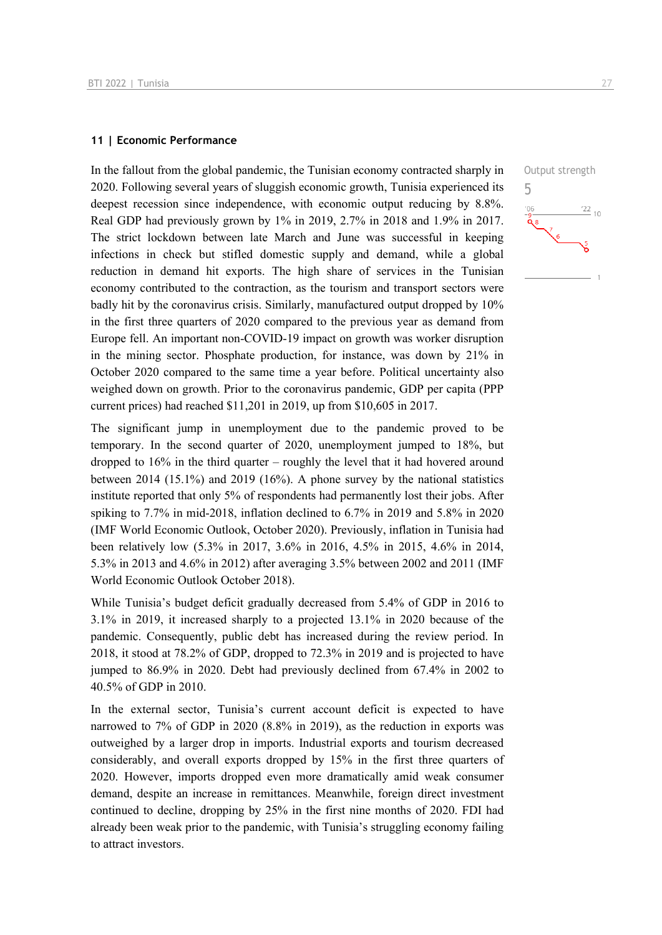#### **11 | Economic Performance**

In the fallout from the global pandemic, the Tunisian economy contracted sharply in 2020. Following several years of sluggish economic growth, Tunisia experienced its deepest recession since independence, with economic output reducing by 8.8%. Real GDP had previously grown by 1% in 2019, 2.7% in 2018 and 1.9% in 2017. The strict lockdown between late March and June was successful in keeping infections in check but stifled domestic supply and demand, while a global reduction in demand hit exports. The high share of services in the Tunisian economy contributed to the contraction, as the tourism and transport sectors were badly hit by the coronavirus crisis. Similarly, manufactured output dropped by 10% in the first three quarters of 2020 compared to the previous year as demand from Europe fell. An important non-COVID-19 impact on growth was worker disruption in the mining sector. Phosphate production, for instance, was down by 21% in October 2020 compared to the same time a year before. Political uncertainty also weighed down on growth. Prior to the coronavirus pandemic, GDP per capita (PPP current prices) had reached \$11,201 in 2019, up from \$10,605 in 2017.

The significant jump in unemployment due to the pandemic proved to be temporary. In the second quarter of 2020, unemployment jumped to 18%, but dropped to 16% in the third quarter – roughly the level that it had hovered around between 2014 (15.1%) and 2019 (16%). A phone survey by the national statistics institute reported that only 5% of respondents had permanently lost their jobs. After spiking to 7.7% in mid-2018, inflation declined to 6.7% in 2019 and 5.8% in 2020 (IMF World Economic Outlook, October 2020). Previously, inflation in Tunisia had been relatively low (5.3% in 2017, 3.6% in 2016, 4.5% in 2015, 4.6% in 2014, 5.3% in 2013 and 4.6% in 2012) after averaging 3.5% between 2002 and 2011 (IMF World Economic Outlook October 2018).

While Tunisia's budget deficit gradually decreased from 5.4% of GDP in 2016 to 3.1% in 2019, it increased sharply to a projected 13.1% in 2020 because of the pandemic. Consequently, public debt has increased during the review period. In 2018, it stood at 78.2% of GDP, dropped to 72.3% in 2019 and is projected to have jumped to 86.9% in 2020. Debt had previously declined from 67.4% in 2002 to 40.5% of GDP in 2010.

In the external sector, Tunisia's current account deficit is expected to have narrowed to 7% of GDP in 2020 (8.8% in 2019), as the reduction in exports was outweighed by a larger drop in imports. Industrial exports and tourism decreased considerably, and overall exports dropped by 15% in the first three quarters of 2020. However, imports dropped even more dramatically amid weak consumer demand, despite an increase in remittances. Meanwhile, foreign direct investment continued to decline, dropping by 25% in the first nine months of 2020. FDI had already been weak prior to the pandemic, with Tunisia's struggling economy failing to attract investors.

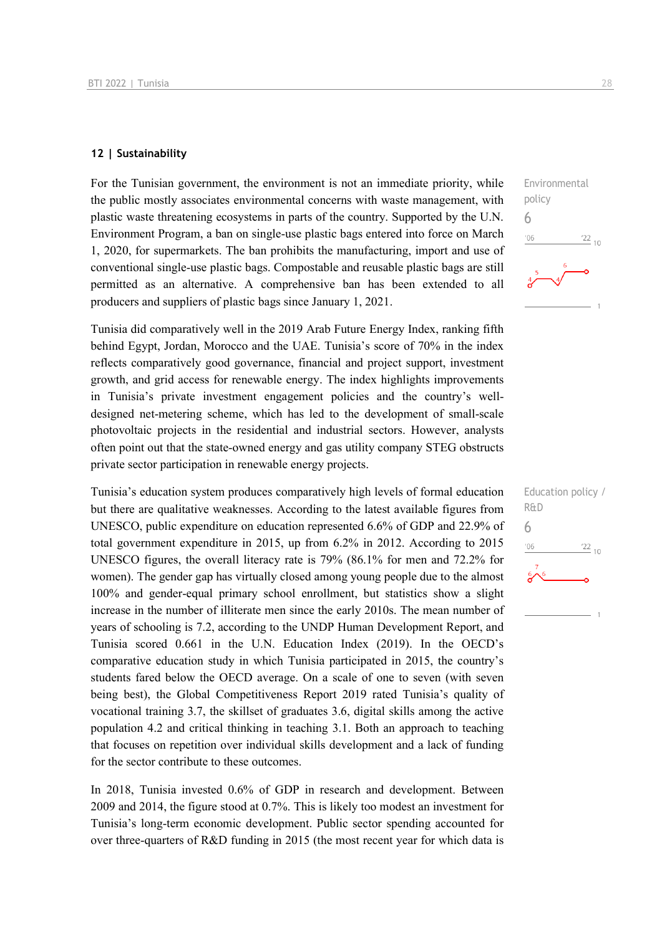#### **12 | Sustainability**

For the Tunisian government, the environment is not an immediate priority, while the public mostly associates environmental concerns with waste management, with plastic waste threatening ecosystems in parts of the country. Supported by the U.N. Environment Program, a ban on single-use plastic bags entered into force on March 1, 2020, for supermarkets. The ban prohibits the manufacturing, import and use of conventional single-use plastic bags. Compostable and reusable plastic bags are still permitted as an alternative. A comprehensive ban has been extended to all producers and suppliers of plastic bags since January 1, 2021.

Tunisia did comparatively well in the 2019 Arab Future Energy Index, ranking fifth behind Egypt, Jordan, Morocco and the UAE. Tunisia's score of 70% in the index reflects comparatively good governance, financial and project support, investment growth, and grid access for renewable energy. The index highlights improvements in Tunisia's private investment engagement policies and the country's welldesigned net-metering scheme, which has led to the development of small-scale photovoltaic projects in the residential and industrial sectors. However, analysts often point out that the state-owned energy and gas utility company STEG obstructs private sector participation in renewable energy projects.

Tunisia's education system produces comparatively high levels of formal education but there are qualitative weaknesses. According to the latest available figures from UNESCO, public expenditure on education represented 6.6% of GDP and 22.9% of total government expenditure in 2015, up from 6.2% in 2012. According to 2015 UNESCO figures, the overall literacy rate is 79% (86.1% for men and 72.2% for women). The gender gap has virtually closed among young people due to the almost 100% and gender-equal primary school enrollment, but statistics show a slight increase in the number of illiterate men since the early 2010s. The mean number of years of schooling is 7.2, according to the UNDP Human Development Report, and Tunisia scored 0.661 in the U.N. Education Index (2019). In the OECD's comparative education study in which Tunisia participated in 2015, the country's students fared below the OECD average. On a scale of one to seven (with seven being best), the Global Competitiveness Report 2019 rated Tunisia's quality of vocational training 3.7, the skillset of graduates 3.6, digital skills among the active population 4.2 and critical thinking in teaching 3.1. Both an approach to teaching that focuses on repetition over individual skills development and a lack of funding for the sector contribute to these outcomes.

In 2018, Tunisia invested 0.6% of GDP in research and development. Between 2009 and 2014, the figure stood at 0.7%. This is likely too modest an investment for Tunisia's long-term economic development. Public sector spending accounted for over three-quarters of R&D funding in 2015 (the most recent year for which data is



| Education policy /     |
|------------------------|
| R&D                    |
| h                      |
| '06<br>$\frac{22}{10}$ |
| $\sim$ 6<br>ره         |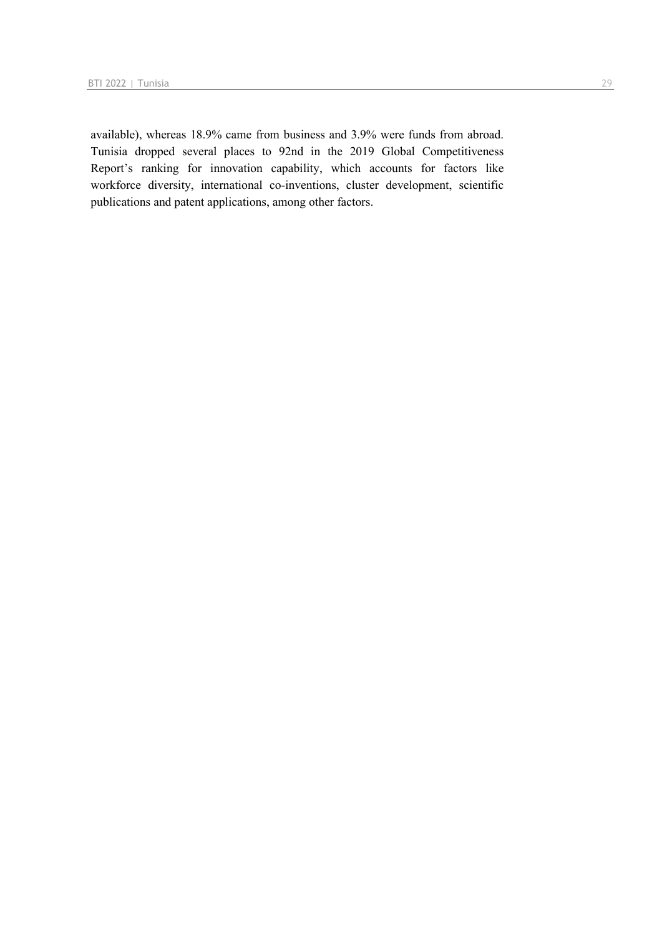available), whereas 18.9% came from business and 3.9% were funds from abroad. Tunisia dropped several places to 92nd in the 2019 Global Competitiveness Report's ranking for innovation capability, which accounts for factors like workforce diversity, international co-inventions, cluster development, scientific publications and patent applications, among other factors.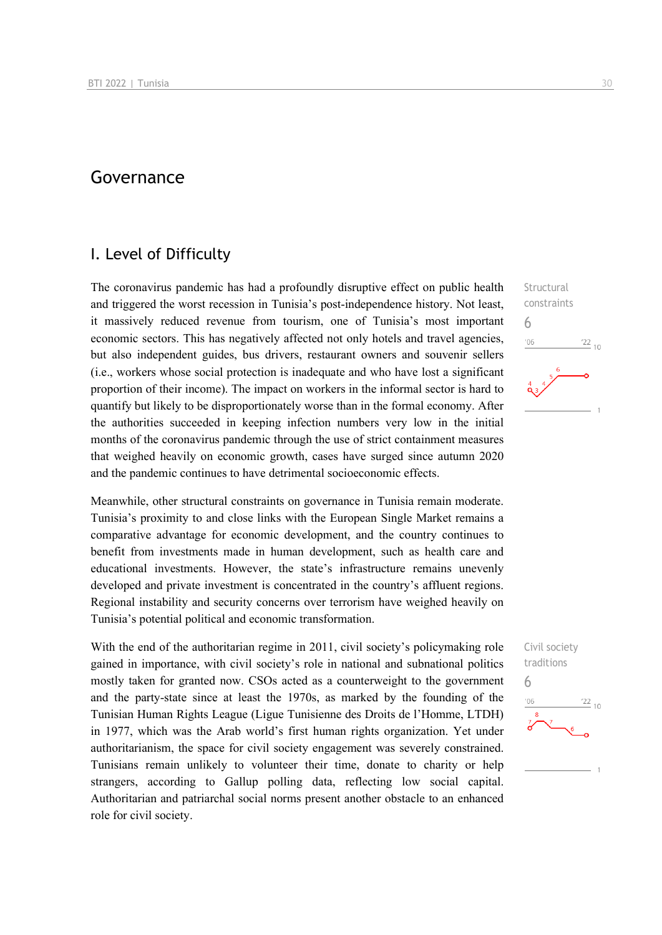## Governance

### I. Level of Difficulty

The coronavirus pandemic has had a profoundly disruptive effect on public health and triggered the worst recession in Tunisia's post-independence history. Not least, it massively reduced revenue from tourism, one of Tunisia's most important economic sectors. This has negatively affected not only hotels and travel agencies, but also independent guides, bus drivers, restaurant owners and souvenir sellers (i.e., workers whose social protection is inadequate and who have lost a significant proportion of their income). The impact on workers in the informal sector is hard to quantify but likely to be disproportionately worse than in the formal economy. After the authorities succeeded in keeping infection numbers very low in the initial months of the coronavirus pandemic through the use of strict containment measures that weighed heavily on economic growth, cases have surged since autumn 2020 and the pandemic continues to have detrimental socioeconomic effects.

Meanwhile, other structural constraints on governance in Tunisia remain moderate. Tunisia's proximity to and close links with the European Single Market remains a comparative advantage for economic development, and the country continues to benefit from investments made in human development, such as health care and educational investments. However, the state's infrastructure remains unevenly developed and private investment is concentrated in the country's affluent regions. Regional instability and security concerns over terrorism have weighed heavily on Tunisia's potential political and economic transformation.

With the end of the authoritarian regime in 2011, civil society's policymaking role gained in importance, with civil society's role in national and subnational politics mostly taken for granted now. CSOs acted as a counterweight to the government and the party-state since at least the 1970s, as marked by the founding of the Tunisian Human Rights League (Ligue Tunisienne des Droits de l'Homme, LTDH) in 1977, which was the Arab world's first human rights organization. Yet under authoritarianism, the space for civil society engagement was severely constrained. Tunisians remain unlikely to volunteer their time, donate to charity or help strangers, according to Gallup polling data, reflecting low social capital. Authoritarian and patriarchal social norms present another obstacle to an enhanced role for civil society.

**Structural** constraints 6  $106$  $\frac{22}{10}$ 

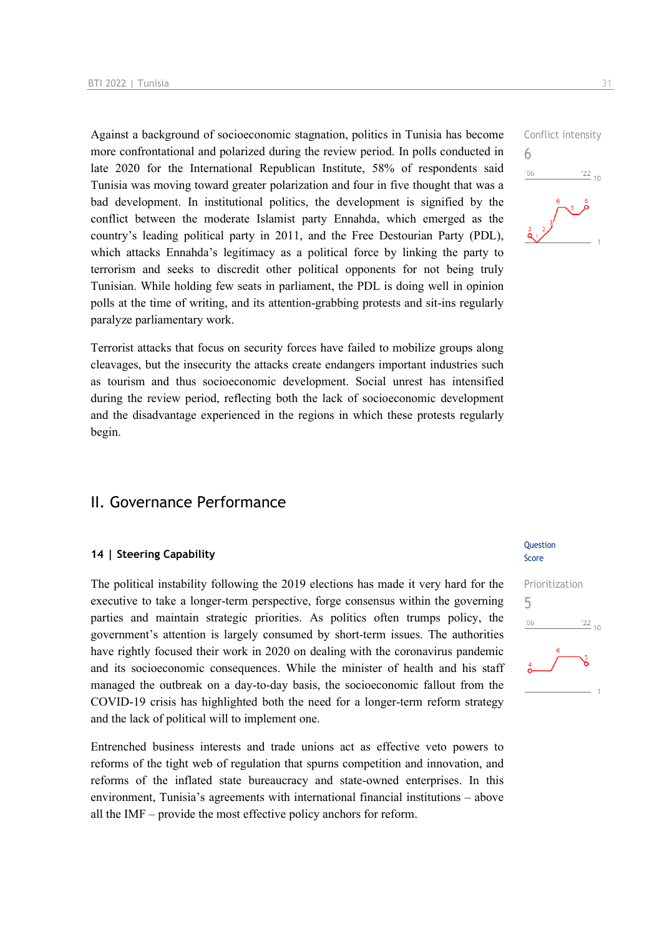Against a background of socioeconomic stagnation, politics in Tunisia has become more confrontational and polarized during the review period. In polls conducted in late 2020 for the International Republican Institute, 58% of respondents said Tunisia was moving toward greater polarization and four in five thought that was a bad development. In institutional politics, the development is signified by the conflict between the moderate Islamist party Ennahda, which emerged as the country's leading political party in 2011, and the Free Destourian Party (PDL), which attacks Ennahda's legitimacy as a political force by linking the party to terrorism and seeks to discredit other political opponents for not being truly Tunisian. While holding few seats in parliament, the PDL is doing well in opinion polls at the time of writing, and its attention-grabbing protests and sit-ins regularly paralyze parliamentary work.

Terrorist attacks that focus on security forces have failed to mobilize groups along cleavages, but the insecurity the attacks create endangers important industries such as tourism and thus socioeconomic development. Social unrest has intensified during the review period, reflecting both the lack of socioeconomic development and the disadvantage experienced in the regions in which these protests regularly begin.

### II. Governance Performance

#### **14 | Steering Capability**

The political instability following the 2019 elections has made it very hard for the executive to take a longer-term perspective, forge consensus within the governing parties and maintain strategic priorities. As politics often trumps policy, the government's attention is largely consumed by short-term issues. The authorities have rightly focused their work in 2020 on dealing with the coronavirus pandemic and its socioeconomic consequences. While the minister of health and his staff managed the outbreak on a day-to-day basis, the socioeconomic fallout from the COVID-19 crisis has highlighted both the need for a longer-term reform strategy and the lack of political will to implement one.

Entrenched business interests and trade unions act as effective veto powers to reforms of the tight web of regulation that spurns competition and innovation, and reforms of the inflated state bureaucracy and state-owned enterprises. In this environment, Tunisia's agreements with international financial institutions – above all the IMF – provide the most effective policy anchors for reform.

#### Question Score



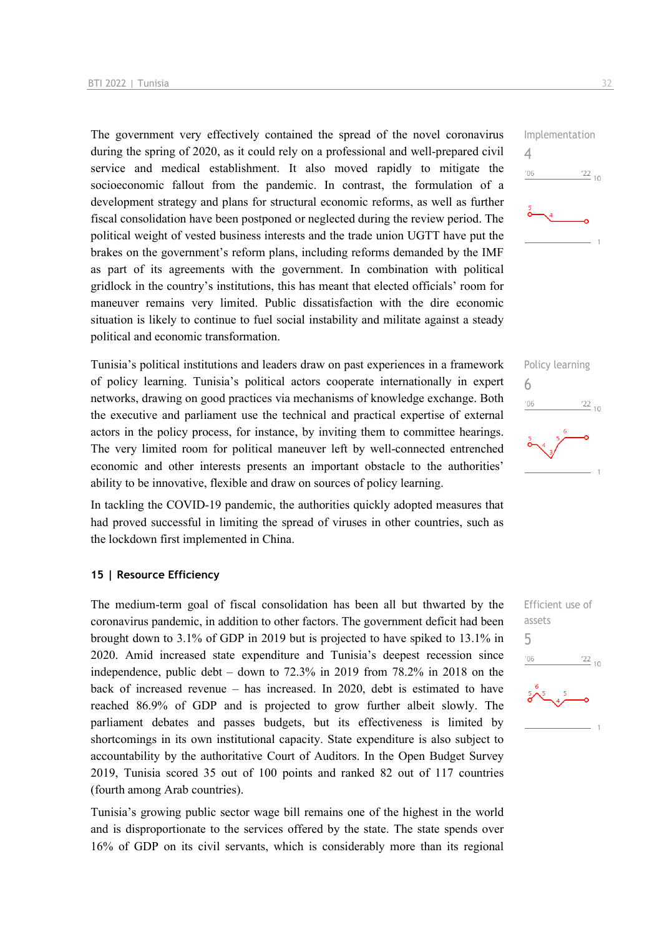The government very effectively contained the spread of the novel coronavirus during the spring of 2020, as it could rely on a professional and well-prepared civil service and medical establishment. It also moved rapidly to mitigate the socioeconomic fallout from the pandemic. In contrast, the formulation of a development strategy and plans for structural economic reforms, as well as further fiscal consolidation have been postponed or neglected during the review period. The political weight of vested business interests and the trade union UGTT have put the brakes on the government's reform plans, including reforms demanded by the IMF as part of its agreements with the government. In combination with political gridlock in the country's institutions, this has meant that elected officials' room for maneuver remains very limited. Public dissatisfaction with the dire economic situation is likely to continue to fuel social instability and militate against a steady political and economic transformation.

Tunisia's political institutions and leaders draw on past experiences in a framework of policy learning. Tunisia's political actors cooperate internationally in expert networks, drawing on good practices via mechanisms of knowledge exchange. Both the executive and parliament use the technical and practical expertise of external actors in the policy process, for instance, by inviting them to committee hearings. The very limited room for political maneuver left by well-connected entrenched economic and other interests presents an important obstacle to the authorities' ability to be innovative, flexible and draw on sources of policy learning.

In tackling the COVID-19 pandemic, the authorities quickly adopted measures that had proved successful in limiting the spread of viruses in other countries, such as the lockdown first implemented in China.

#### **15 | Resource Efficiency**

The medium-term goal of fiscal consolidation has been all but thwarted by the coronavirus pandemic, in addition to other factors. The government deficit had been brought down to 3.1% of GDP in 2019 but is projected to have spiked to 13.1% in 2020. Amid increased state expenditure and Tunisia's deepest recession since independence, public debt – down to 72.3% in 2019 from 78.2% in 2018 on the back of increased revenue – has increased. In 2020, debt is estimated to have reached 86.9% of GDP and is projected to grow further albeit slowly. The parliament debates and passes budgets, but its effectiveness is limited by shortcomings in its own institutional capacity. State expenditure is also subject to accountability by the authoritative Court of Auditors. In the Open Budget Survey 2019, Tunisia scored 35 out of 100 points and ranked 82 out of 117 countries (fourth among Arab countries).

Tunisia's growing public sector wage bill remains one of the highest in the world and is disproportionate to the services offered by the state. The state spends over 16% of GDP on its civil servants, which is considerably more than its regional





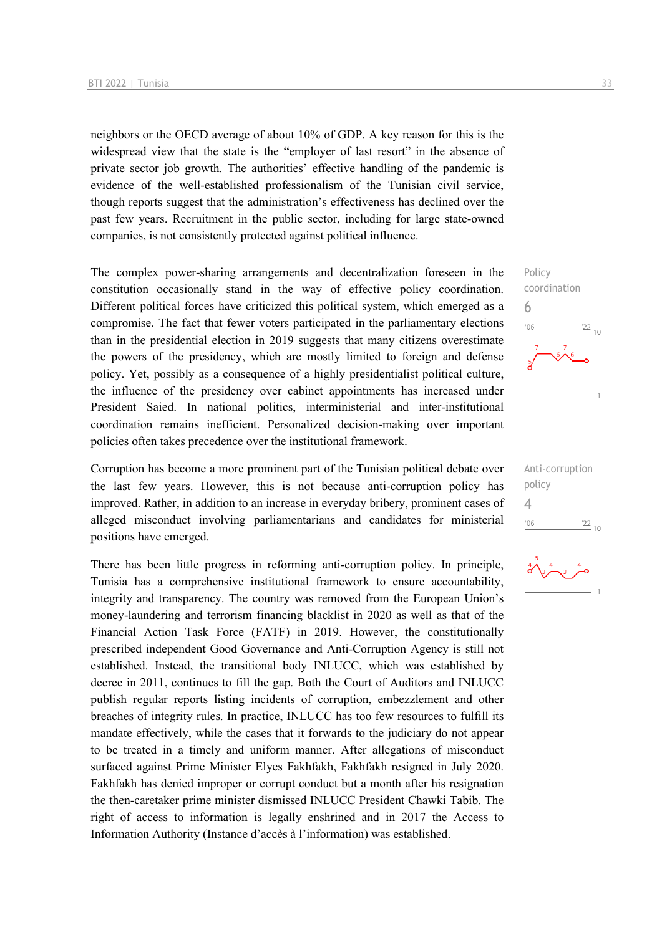neighbors or the OECD average of about 10% of GDP. A key reason for this is the widespread view that the state is the "employer of last resort" in the absence of private sector job growth. The authorities' effective handling of the pandemic is evidence of the well-established professionalism of the Tunisian civil service, though reports suggest that the administration's effectiveness has declined over the past few years. Recruitment in the public sector, including for large state-owned companies, is not consistently protected against political influence.

The complex power-sharing arrangements and decentralization foreseen in the constitution occasionally stand in the way of effective policy coordination. Different political forces have criticized this political system, which emerged as a compromise. The fact that fewer voters participated in the parliamentary elections than in the presidential election in 2019 suggests that many citizens overestimate the powers of the presidency, which are mostly limited to foreign and defense policy. Yet, possibly as a consequence of a highly presidentialist political culture, the influence of the presidency over cabinet appointments has increased under President Saied. In national politics, interministerial and inter-institutional coordination remains inefficient. Personalized decision-making over important policies often takes precedence over the institutional framework.

Corruption has become a more prominent part of the Tunisian political debate over the last few years. However, this is not because anti-corruption policy has improved. Rather, in addition to an increase in everyday bribery, prominent cases of alleged misconduct involving parliamentarians and candidates for ministerial positions have emerged.

There has been little progress in reforming anti-corruption policy. In principle, Tunisia has a comprehensive institutional framework to ensure accountability, integrity and transparency. The country was removed from the European Union's money-laundering and terrorism financing blacklist in 2020 as well as that of the Financial Action Task Force (FATF) in 2019. However, the constitutionally prescribed independent Good Governance and Anti-Corruption Agency is still not established. Instead, the transitional body INLUCC, which was established by decree in 2011, continues to fill the gap. Both the Court of Auditors and INLUCC publish regular reports listing incidents of corruption, embezzlement and other breaches of integrity rules. In practice, INLUCC has too few resources to fulfill its mandate effectively, while the cases that it forwards to the judiciary do not appear to be treated in a timely and uniform manner. After allegations of misconduct surfaced against Prime Minister Elyes Fakhfakh, Fakhfakh resigned in July 2020. Fakhfakh has denied improper or corrupt conduct but a month after his resignation the then-caretaker prime minister dismissed INLUCC President Chawki Tabib. The right of access to information is legally enshrined and in 2017 the Access to Information Authority (Instance d'accès à l'information) was established.

Policy coordination 6  $\frac{22}{10}$  $106$ 

Anti-corruption policy 4 $-06$  $\frac{22}{10}$ 

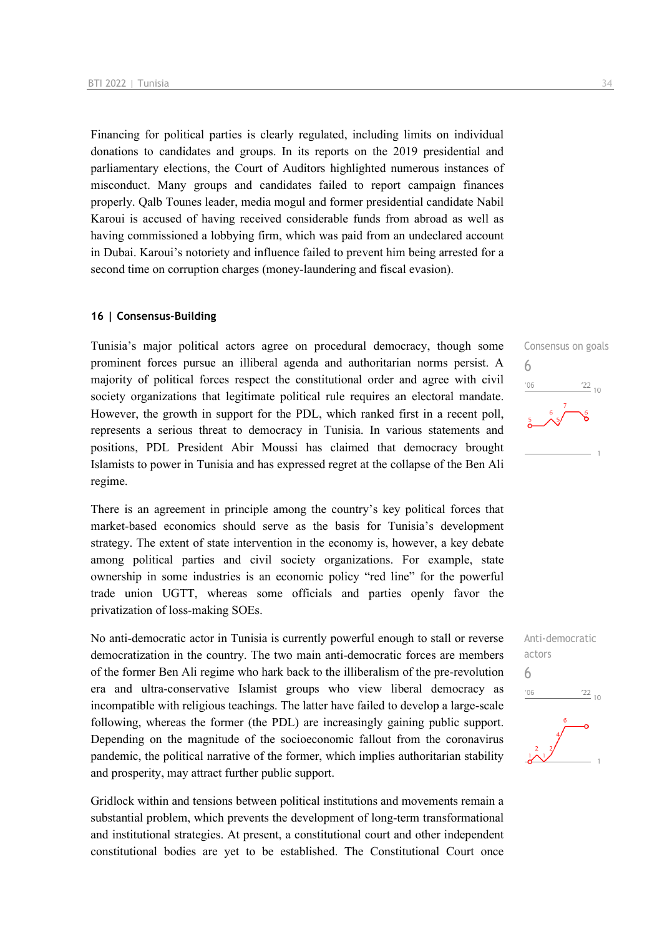Financing for political parties is clearly regulated, including limits on individual donations to candidates and groups. In its reports on the 2019 presidential and parliamentary elections, the Court of Auditors highlighted numerous instances of misconduct. Many groups and candidates failed to report campaign finances properly. Qalb Tounes leader, media mogul and former presidential candidate Nabil Karoui is accused of having received considerable funds from abroad as well as having commissioned a lobbying firm, which was paid from an undeclared account in Dubai. Karoui's notoriety and influence failed to prevent him being arrested for a second time on corruption charges (money-laundering and fiscal evasion).

#### **16 | Consensus-Building**

Tunisia's major political actors agree on procedural democracy, though some prominent forces pursue an illiberal agenda and authoritarian norms persist. A majority of political forces respect the constitutional order and agree with civil society organizations that legitimate political rule requires an electoral mandate. However, the growth in support for the PDL, which ranked first in a recent poll, represents a serious threat to democracy in Tunisia. In various statements and positions, PDL President Abir Moussi has claimed that democracy brought Islamists to power in Tunisia and has expressed regret at the collapse of the Ben Ali regime.

There is an agreement in principle among the country's key political forces that market-based economics should serve as the basis for Tunisia's development strategy. The extent of state intervention in the economy is, however, a key debate among political parties and civil society organizations. For example, state ownership in some industries is an economic policy "red line" for the powerful trade union UGTT, whereas some officials and parties openly favor the privatization of loss-making SOEs.

No anti-democratic actor in Tunisia is currently powerful enough to stall or reverse democratization in the country. The two main anti-democratic forces are members of the former Ben Ali regime who hark back to the illiberalism of the pre-revolution era and ultra-conservative Islamist groups who view liberal democracy as incompatible with religious teachings. The latter have failed to develop a large-scale following, whereas the former (the PDL) are increasingly gaining public support. Depending on the magnitude of the socioeconomic fallout from the coronavirus pandemic, the political narrative of the former, which implies authoritarian stability and prosperity, may attract further public support.

Gridlock within and tensions between political institutions and movements remain a substantial problem, which prevents the development of long-term transformational and institutional strategies. At present, a constitutional court and other independent constitutional bodies are yet to be established. The Constitutional Court once



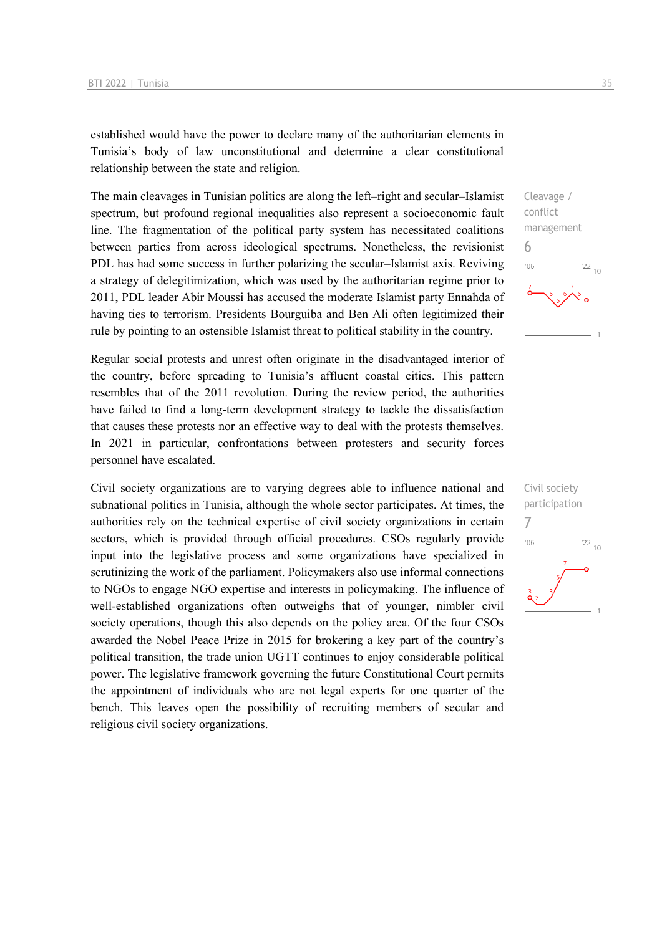established would have the power to declare many of the authoritarian elements in Tunisia's body of law unconstitutional and determine a clear constitutional relationship between the state and religion.

The main cleavages in Tunisian politics are along the left–right and secular–Islamist spectrum, but profound regional inequalities also represent a socioeconomic fault line. The fragmentation of the political party system has necessitated coalitions between parties from across ideological spectrums. Nonetheless, the revisionist PDL has had some success in further polarizing the secular–Islamist axis. Reviving a strategy of delegitimization, which was used by the authoritarian regime prior to 2011, PDL leader Abir Moussi has accused the moderate Islamist party Ennahda of having ties to terrorism. Presidents Bourguiba and Ben Ali often legitimized their rule by pointing to an ostensible Islamist threat to political stability in the country.

Regular social protests and unrest often originate in the disadvantaged interior of the country, before spreading to Tunisia's affluent coastal cities. This pattern resembles that of the 2011 revolution. During the review period, the authorities have failed to find a long-term development strategy to tackle the dissatisfaction that causes these protests nor an effective way to deal with the protests themselves. In 2021 in particular, confrontations between protesters and security forces personnel have escalated.

Civil society organizations are to varying degrees able to influence national and subnational politics in Tunisia, although the whole sector participates. At times, the authorities rely on the technical expertise of civil society organizations in certain sectors, which is provided through official procedures. CSOs regularly provide input into the legislative process and some organizations have specialized in scrutinizing the work of the parliament. Policymakers also use informal connections to NGOs to engage NGO expertise and interests in policymaking. The influence of well-established organizations often outweighs that of younger, nimbler civil society operations, though this also depends on the policy area. Of the four CSOs awarded the Nobel Peace Prize in 2015 for brokering a key part of the country's political transition, the trade union UGTT continues to enjoy considerable political power. The legislative framework governing the future Constitutional Court permits the appointment of individuals who are not legal experts for one quarter of the bench. This leaves open the possibility of recruiting members of secular and religious civil society organizations.



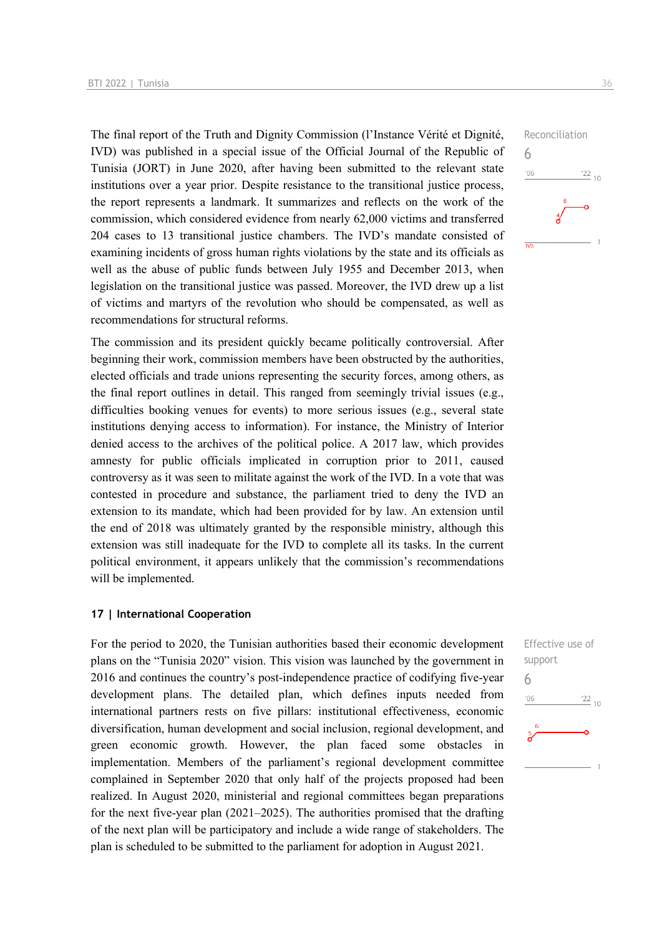The final report of the Truth and Dignity Commission (l'Instance Vérité et Dignité, IVD) was published in a special issue of the Official Journal of the Republic of Tunisia (JORT) in June 2020, after having been submitted to the relevant state institutions over a year prior. Despite resistance to the transitional justice process, the report represents a landmark. It summarizes and reflects on the work of the commission, which considered evidence from nearly 62,000 victims and transferred 204 cases to 13 transitional justice chambers. The IVD's mandate consisted of examining incidents of gross human rights violations by the state and its officials as well as the abuse of public funds between July 1955 and December 2013, when legislation on the transitional justice was passed. Moreover, the IVD drew up a list of victims and martyrs of the revolution who should be compensated, as well as recommendations for structural reforms.

The commission and its president quickly became politically controversial. After beginning their work, commission members have been obstructed by the authorities, elected officials and trade unions representing the security forces, among others, as the final report outlines in detail. This ranged from seemingly trivial issues (e.g., difficulties booking venues for events) to more serious issues (e.g., several state institutions denying access to information). For instance, the Ministry of Interior denied access to the archives of the political police. A 2017 law, which provides amnesty for public officials implicated in corruption prior to 2011, caused controversy as it was seen to militate against the work of the IVD. In a vote that was contested in procedure and substance, the parliament tried to deny the IVD an extension to its mandate, which had been provided for by law. An extension until the end of 2018 was ultimately granted by the responsible ministry, although this extension was still inadequate for the IVD to complete all its tasks. In the current political environment, it appears unlikely that the commission's recommendations will be implemented.

#### **17 | International Cooperation**

For the period to 2020, the Tunisian authorities based their economic development plans on the "Tunisia 2020" vision. This vision was launched by the government in 2016 and continues the country's post-independence practice of codifying five-year development plans. The detailed plan, which defines inputs needed from international partners rests on five pillars: institutional effectiveness, economic diversification, human development and social inclusion, regional development, and green economic growth. However, the plan faced some obstacles in implementation. Members of the parliament's regional development committee complained in September 2020 that only half of the projects proposed had been realized. In August 2020, ministerial and regional committees began preparations for the next five-year plan (2021–2025). The authorities promised that the drafting of the next plan will be participatory and include a wide range of stakeholders. The plan is scheduled to be submitted to the parliament for adoption in August 2021.



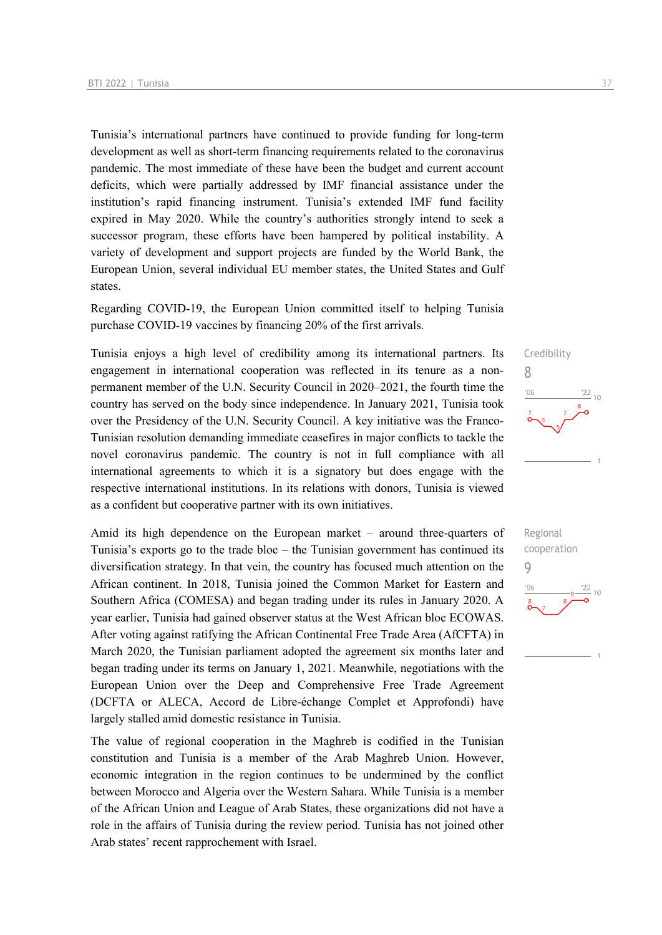Tunisia's international partners have continued to provide funding for long-term development as well as short-term financing requirements related to the coronavirus pandemic. The most immediate of these have been the budget and current account deficits, which were partially addressed by IMF financial assistance under the institution's rapid financing instrument. Tunisia's extended IMF fund facility expired in May 2020. While the country's authorities strongly intend to seek a successor program, these efforts have been hampered by political instability. A variety of development and support projects are funded by the World Bank, the European Union, several individual EU member states, the United States and Gulf states.

Regarding COVID-19, the European Union committed itself to helping Tunisia purchase COVID-19 vaccines by financing 20% of the first arrivals.

Tunisia enjoys a high level of credibility among its international partners. Its engagement in international cooperation was reflected in its tenure as a nonpermanent member of the U.N. Security Council in 2020–2021, the fourth time the country has served on the body since independence. In January 2021, Tunisia took over the Presidency of the U.N. Security Council. A key initiative was the Franco-Tunisian resolution demanding immediate ceasefires in major conflicts to tackle the novel coronavirus pandemic. The country is not in full compliance with all international agreements to which it is a signatory but does engage with the respective international institutions. In its relations with donors, Tunisia is viewed as a confident but cooperative partner with its own initiatives.

Amid its high dependence on the European market – around three-quarters of Tunisia's exports go to the trade bloc – the Tunisian government has continued its diversification strategy. In that vein, the country has focused much attention on the African continent. In 2018, Tunisia joined the Common Market for Eastern and Southern Africa (COMESA) and began trading under its rules in January 2020. A year earlier, Tunisia had gained observer status at the West African bloc ECOWAS. After voting against ratifying the African Continental Free Trade Area (AfCFTA) in March 2020, the Tunisian parliament adopted the agreement six months later and began trading under its terms on January 1, 2021. Meanwhile, negotiations with the European Union over the Deep and Comprehensive Free Trade Agreement (DCFTA or ALECA, Accord de Libre-échange Complet et Approfondi) have largely stalled amid domestic resistance in Tunisia.

The value of regional cooperation in the Maghreb is codified in the Tunisian constitution and Tunisia is a member of the Arab Maghreb Union. However, economic integration in the region continues to be undermined by the conflict between Morocco and Algeria over the Western Sahara. While Tunisia is a member of the African Union and League of Arab States, these organizations did not have a role in the affairs of Tunisia during the review period. Tunisia has not joined other Arab states' recent rapprochement with Israel.



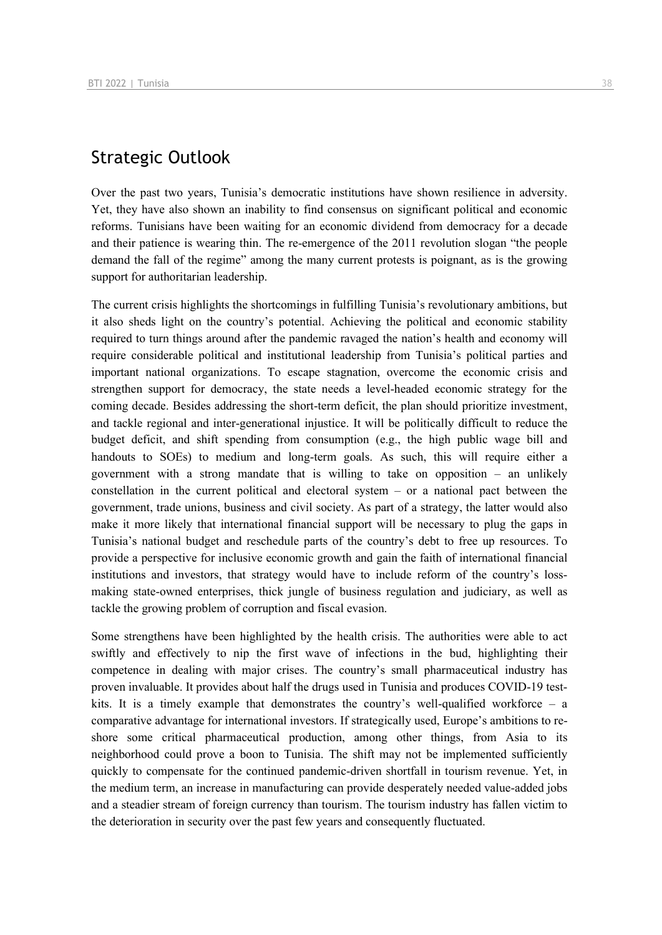## Strategic Outlook

Over the past two years, Tunisia's democratic institutions have shown resilience in adversity. Yet, they have also shown an inability to find consensus on significant political and economic reforms. Tunisians have been waiting for an economic dividend from democracy for a decade and their patience is wearing thin. The re-emergence of the 2011 revolution slogan "the people demand the fall of the regime" among the many current protests is poignant, as is the growing support for authoritarian leadership.

The current crisis highlights the shortcomings in fulfilling Tunisia's revolutionary ambitions, but it also sheds light on the country's potential. Achieving the political and economic stability required to turn things around after the pandemic ravaged the nation's health and economy will require considerable political and institutional leadership from Tunisia's political parties and important national organizations. To escape stagnation, overcome the economic crisis and strengthen support for democracy, the state needs a level-headed economic strategy for the coming decade. Besides addressing the short-term deficit, the plan should prioritize investment, and tackle regional and inter-generational injustice. It will be politically difficult to reduce the budget deficit, and shift spending from consumption (e.g., the high public wage bill and handouts to SOEs) to medium and long-term goals. As such, this will require either a government with a strong mandate that is willing to take on opposition – an unlikely constellation in the current political and electoral system – or a national pact between the government, trade unions, business and civil society. As part of a strategy, the latter would also make it more likely that international financial support will be necessary to plug the gaps in Tunisia's national budget and reschedule parts of the country's debt to free up resources. To provide a perspective for inclusive economic growth and gain the faith of international financial institutions and investors, that strategy would have to include reform of the country's lossmaking state-owned enterprises, thick jungle of business regulation and judiciary, as well as tackle the growing problem of corruption and fiscal evasion.

Some strengthens have been highlighted by the health crisis. The authorities were able to act swiftly and effectively to nip the first wave of infections in the bud, highlighting their competence in dealing with major crises. The country's small pharmaceutical industry has proven invaluable. It provides about half the drugs used in Tunisia and produces COVID-19 testkits. It is a timely example that demonstrates the country's well-qualified workforce  $-$  a comparative advantage for international investors. If strategically used, Europe's ambitions to reshore some critical pharmaceutical production, among other things, from Asia to its neighborhood could prove a boon to Tunisia. The shift may not be implemented sufficiently quickly to compensate for the continued pandemic-driven shortfall in tourism revenue. Yet, in the medium term, an increase in manufacturing can provide desperately needed value-added jobs and a steadier stream of foreign currency than tourism. The tourism industry has fallen victim to the deterioration in security over the past few years and consequently fluctuated.